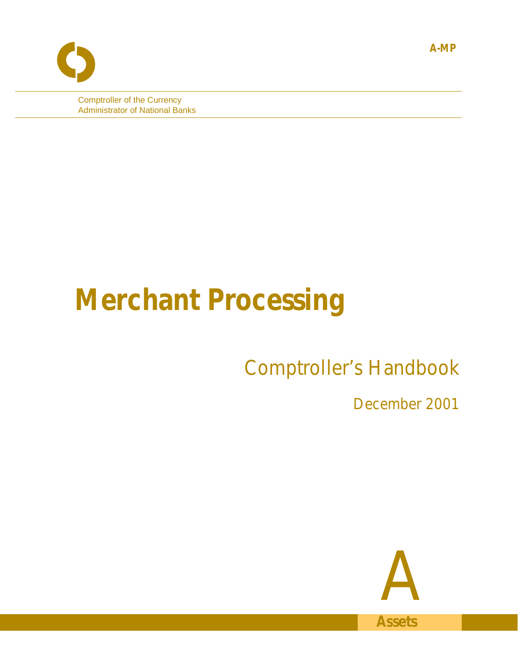Comptroller of the Currency Administrator of National Banks

# **Merchant Processing**

# Comptroller's Handbook

December 2001



**A-MP**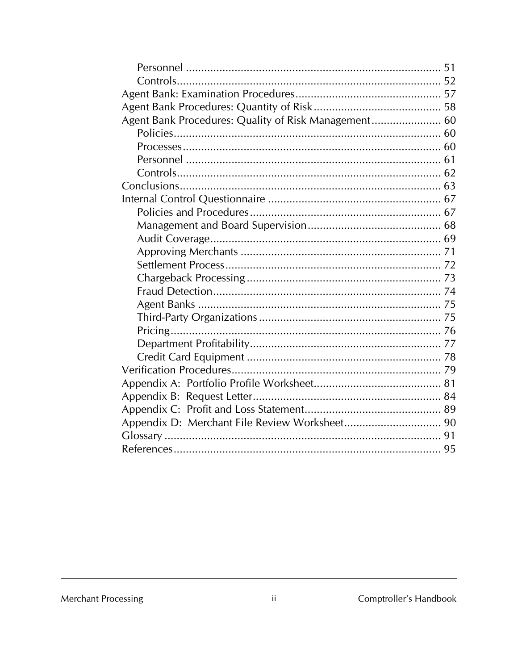| Agent Bank Procedures: Quality of Risk Management 60 |  |
|------------------------------------------------------|--|
|                                                      |  |
|                                                      |  |
|                                                      |  |
|                                                      |  |
|                                                      |  |
|                                                      |  |
|                                                      |  |
|                                                      |  |
|                                                      |  |
|                                                      |  |
|                                                      |  |
|                                                      |  |
|                                                      |  |
|                                                      |  |
|                                                      |  |
|                                                      |  |
|                                                      |  |
|                                                      |  |
|                                                      |  |
|                                                      |  |
|                                                      |  |
|                                                      |  |
|                                                      |  |
|                                                      |  |
|                                                      |  |

## Merchant Processing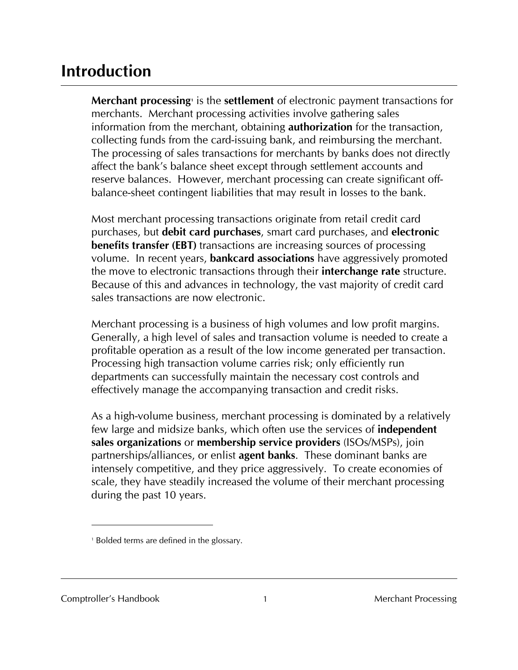# **Introduction**

**Merchant processing** is the **settlement** of electronic payment transactions for merchants. Merchant processing activities involve gathering sales information from the merchant, obtaining **authorization** for the transaction, collecting funds from the card-issuing bank, and reimbursing the merchant. The processing of sales transactions for merchants by banks does not directly affect the bank's balance sheet except through settlement accounts and reserve balances. However, merchant processing can create significant offbalance-sheet contingent liabilities that may result in losses to the bank.

Most merchant processing transactions originate from retail credit card purchases, but **debit card purchases**, smart card purchases, and **electronic benefits transfer (EBT)** transactions are increasing sources of processing volume. In recent years, **bankcard associations** have aggressively promoted the move to electronic transactions through their **interchange rate** structure. Because of this and advances in technology, the vast majority of credit card sales transactions are now electronic.

Merchant processing is a business of high volumes and low profit margins. Generally, a high level of sales and transaction volume is needed to create a profitable operation as a result of the low income generated per transaction. Processing high transaction volume carries risk; only efficiently run departments can successfully maintain the necessary cost controls and effectively manage the accompanying transaction and credit risks.

As a high-volume business, merchant processing is dominated by a relatively few large and midsize banks, which often use the services of **independent sales organizations** or **membership service providers** (ISOs/MSPs), join partnerships/alliances, or enlist **agent banks**. These dominant banks are intensely competitive, and they price aggressively. To create economies of scale, they have steadily increased the volume of their merchant processing during the past 10 years.

l

<sup>1</sup> Bolded terms are defined in the glossary.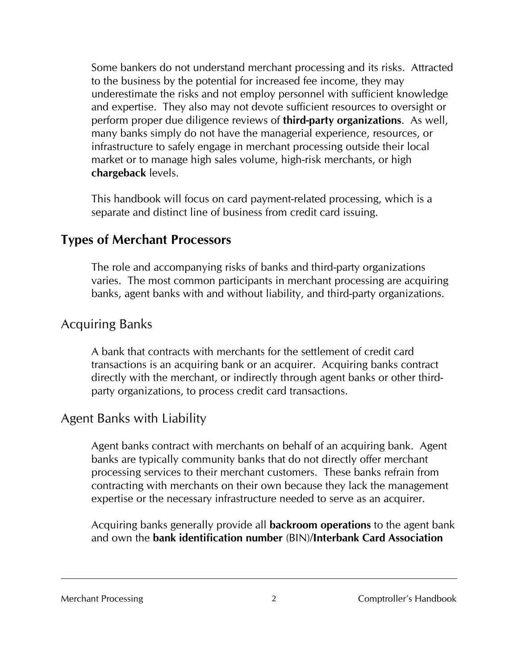Some bankers do not understand merchant processing and its risks. Attracted to the business by the potential for increased fee income, they may underestimate the risks and not employ personnel with sufficient knowledge and expertise. They also may not devote sufficient resources to oversight or perform proper due diligence reviews of **third-party organizations**. As well, many banks simply do not have the managerial experience, resources, or infrastructure to safely engage in merchant processing outside their local market or to manage high sales volume, high-risk merchants, or high **chargeback** levels.

This handbook will focus on card payment-related processing, which is a separate and distinct line of business from credit card issuing.

# **Types of Merchant Processors**

The role and accompanying risks of banks and third-party organizations varies. The most common participants in merchant processing are acquiring banks, agent banks with and without liability, and third-party organizations.

# Acquiring Banks

A bank that contracts with merchants for the settlement of credit card transactions is an acquiring bank or an acquirer. Acquiring banks contract directly with the merchant, or indirectly through agent banks or other thirdparty organizations, to process credit card transactions.

# Agent Banks with Liability

Agent banks contract with merchants on behalf of an acquiring bank. Agent banks are typically community banks that do not directly offer merchant processing services to their merchant customers. These banks refrain from contracting with merchants on their own because they lack the management expertise or the necessary infrastructure needed to serve as an acquirer.

Acquiring banks generally provide all **backroom operations** to the agent bank and own the **bank identification number** (BIN)/**Interbank Card Association**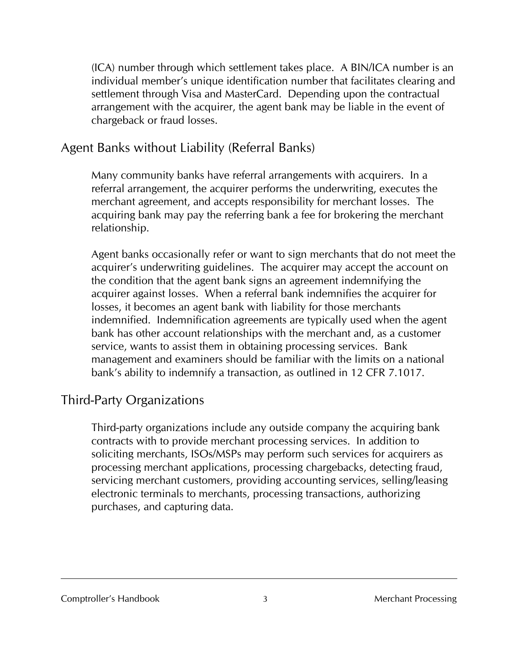(ICA) number through which settlement takes place. A BIN/ICA number is an individual member's unique identification number that facilitates clearing and settlement through Visa and MasterCard. Depending upon the contractual arrangement with the acquirer, the agent bank may be liable in the event of chargeback or fraud losses.

# Agent Banks without Liability (Referral Banks)

Many community banks have referral arrangements with acquirers. In a referral arrangement, the acquirer performs the underwriting, executes the merchant agreement, and accepts responsibility for merchant losses. The acquiring bank may pay the referring bank a fee for brokering the merchant relationship.

Agent banks occasionally refer or want to sign merchants that do not meet the acquirer's underwriting guidelines. The acquirer may accept the account on the condition that the agent bank signs an agreement indemnifying the acquirer against losses. When a referral bank indemnifies the acquirer for losses, it becomes an agent bank with liability for those merchants indemnified. Indemnification agreements are typically used when the agent bank has other account relationships with the merchant and, as a customer service, wants to assist them in obtaining processing services. Bank management and examiners should be familiar with the limits on a national bank's ability to indemnify a transaction, as outlined in 12 CFR 7.1017.

# Third-Party Organizations

Third-party organizations include any outside company the acquiring bank contracts with to provide merchant processing services. In addition to soliciting merchants, ISOs/MSPs may perform such services for acquirers as processing merchant applications, processing chargebacks, detecting fraud, servicing merchant customers, providing accounting services, selling/leasing electronic terminals to merchants, processing transactions, authorizing purchases, and capturing data.

Comptroller's Handbook 3 3 Merchant Processing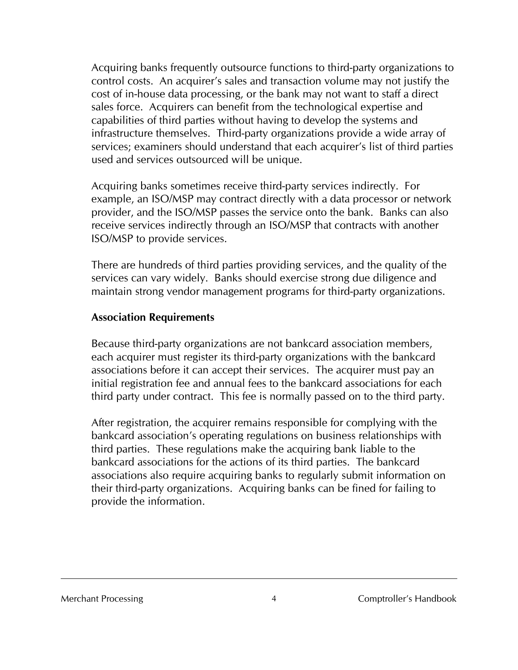Acquiring banks frequently outsource functions to third-party organizations to control costs. An acquirer's sales and transaction volume may not justify the cost of in-house data processing, or the bank may not want to staff a direct sales force. Acquirers can benefit from the technological expertise and capabilities of third parties without having to develop the systems and infrastructure themselves. Third-party organizations provide a wide array of services; examiners should understand that each acquirer's list of third parties used and services outsourced will be unique.

Acquiring banks sometimes receive third-party services indirectly. For example, an ISO/MSP may contract directly with a data processor or network provider, and the ISO/MSP passes the service onto the bank. Banks can also receive services indirectly through an ISO/MSP that contracts with another ISO/MSP to provide services.

There are hundreds of third parties providing services, and the quality of the services can vary widely. Banks should exercise strong due diligence and maintain strong vendor management programs for third-party organizations.

#### **Association Requirements**

Because third-party organizations are not bankcard association members, each acquirer must register its third-party organizations with the bankcard associations before it can accept their services. The acquirer must pay an initial registration fee and annual fees to the bankcard associations for each third party under contract. This fee is normally passed on to the third party.

After registration, the acquirer remains responsible for complying with the bankcard association's operating regulations on business relationships with third parties. These regulations make the acquiring bank liable to the bankcard associations for the actions of its third parties. The bankcard associations also require acquiring banks to regularly submit information on their third-party organizations. Acquiring banks can be fined for failing to provide the information.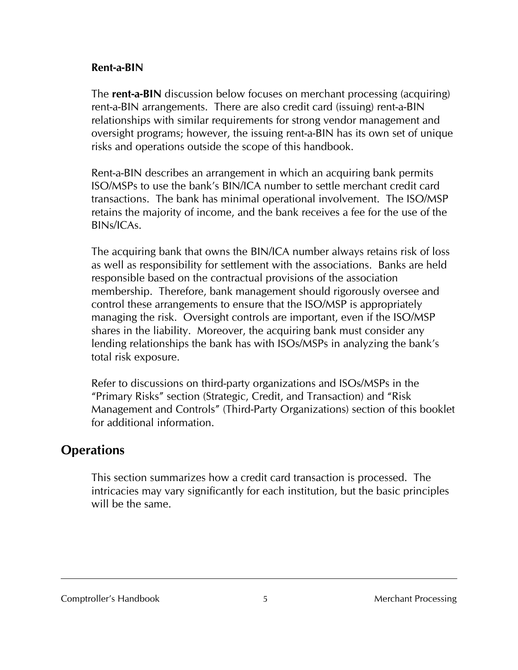#### **Rent-a-BIN**

The **rent-a-BIN** discussion below focuses on merchant processing (acquiring) rent-a-BIN arrangements. There are also credit card (issuing) rent-a-BIN relationships with similar requirements for strong vendor management and oversight programs; however, the issuing rent-a-BIN has its own set of unique risks and operations outside the scope of this handbook.

Rent-a-BIN describes an arrangement in which an acquiring bank permits ISO/MSPs to use the bank's BIN/ICA number to settle merchant credit card transactions. The bank has minimal operational involvement. The ISO/MSP retains the majority of income, and the bank receives a fee for the use of the BINs/ICAs.

The acquiring bank that owns the BIN/ICA number always retains risk of loss as well as responsibility for settlement with the associations. Banks are held responsible based on the contractual provisions of the association membership. Therefore, bank management should rigorously oversee and control these arrangements to ensure that the ISO/MSP is appropriately managing the risk. Oversight controls are important, even if the ISO/MSP shares in the liability. Moreover, the acquiring bank must consider any lending relationships the bank has with ISOs/MSPs in analyzing the bank's total risk exposure.

Refer to discussions on third-party organizations and ISOs/MSPs in the "Primary Risks" section (Strategic, Credit, and Transaction) and "Risk Management and Controls" (Third-Party Organizations) section of this booklet for additional information.

# **Operations**

This section summarizes how a credit card transaction is processed. The intricacies may vary significantly for each institution, but the basic principles will be the same.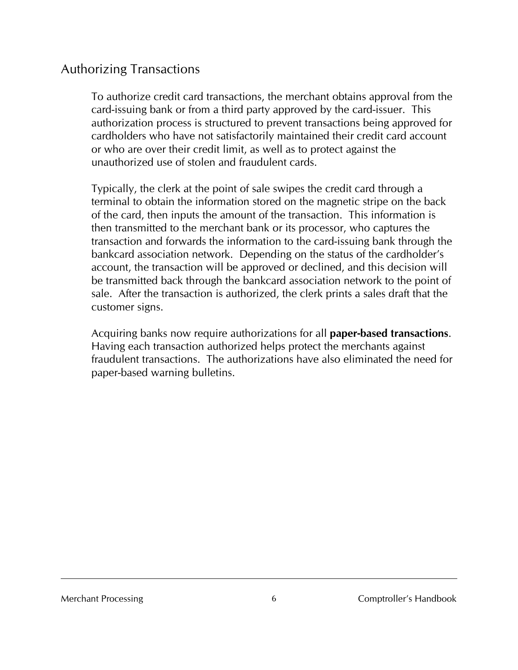# Authorizing Transactions

To authorize credit card transactions, the merchant obtains approval from the card-issuing bank or from a third party approved by the card-issuer. This authorization process is structured to prevent transactions being approved for cardholders who have not satisfactorily maintained their credit card account or who are over their credit limit, as well as to protect against the unauthorized use of stolen and fraudulent cards.

Typically, the clerk at the point of sale swipes the credit card through a terminal to obtain the information stored on the magnetic stripe on the back of the card, then inputs the amount of the transaction. This information is then transmitted to the merchant bank or its processor, who captures the transaction and forwards the information to the card-issuing bank through the bankcard association network. Depending on the status of the cardholder's account, the transaction will be approved or declined, and this decision will be transmitted back through the bankcard association network to the point of sale. After the transaction is authorized, the clerk prints a sales draft that the customer signs.

Acquiring banks now require authorizations for all **paper-based transactions**. Having each transaction authorized helps protect the merchants against fraudulent transactions. The authorizations have also eliminated the need for paper-based warning bulletins.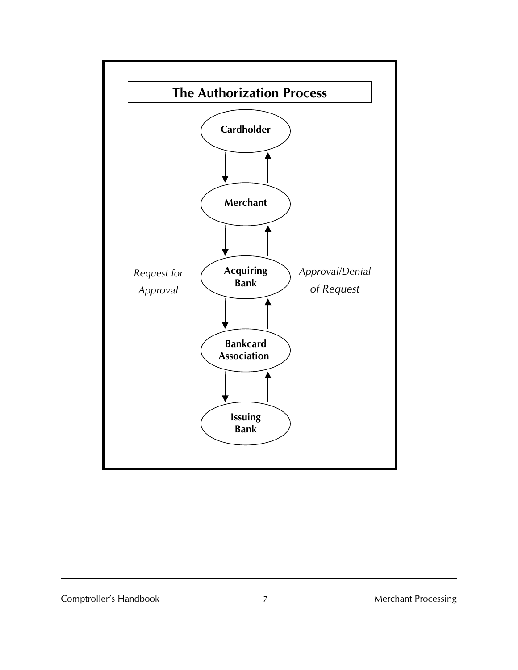

#### Comptroller's Handbook 7 7 Merchant Processing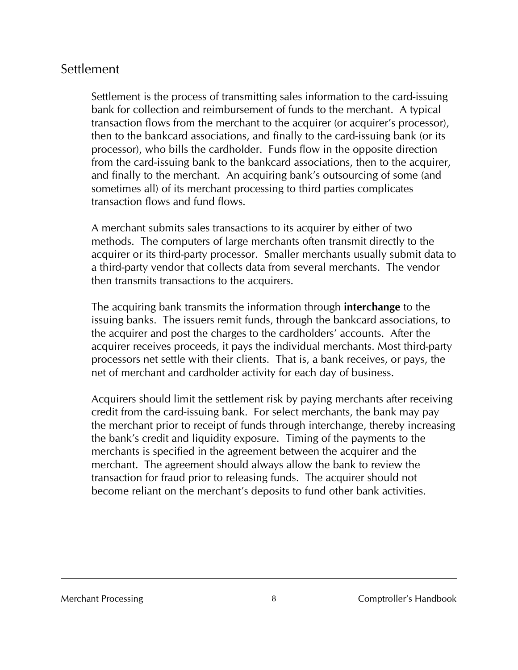# Settlement

Settlement is the process of transmitting sales information to the card-issuing bank for collection and reimbursement of funds to the merchant. A typical transaction flows from the merchant to the acquirer (or acquirer's processor), then to the bankcard associations, and finally to the card-issuing bank (or its processor), who bills the cardholder. Funds flow in the opposite direction from the card-issuing bank to the bankcard associations, then to the acquirer, and finally to the merchant. An acquiring bank's outsourcing of some (and sometimes all) of its merchant processing to third parties complicates transaction flows and fund flows.

A merchant submits sales transactions to its acquirer by either of two methods. The computers of large merchants often transmit directly to the acquirer or its third-party processor. Smaller merchants usually submit data to a third-party vendor that collects data from several merchants. The vendor then transmits transactions to the acquirers.

The acquiring bank transmits the information through **interchange** to the issuing banks. The issuers remit funds, through the bankcard associations, to the acquirer and post the charges to the cardholders' accounts. After the acquirer receives proceeds, it pays the individual merchants. Most third-party processors net settle with their clients. That is, a bank receives, or pays, the net of merchant and cardholder activity for each day of business.

Acquirers should limit the settlement risk by paying merchants after receiving credit from the card-issuing bank. For select merchants, the bank may pay the merchant prior to receipt of funds through interchange, thereby increasing the bank's credit and liquidity exposure. Timing of the payments to the merchants is specified in the agreement between the acquirer and the merchant. The agreement should always allow the bank to review the transaction for fraud prior to releasing funds. The acquirer should not become reliant on the merchant's deposits to fund other bank activities.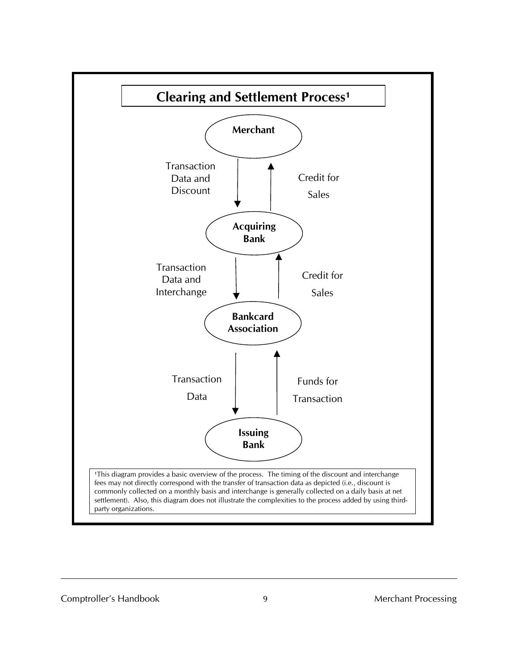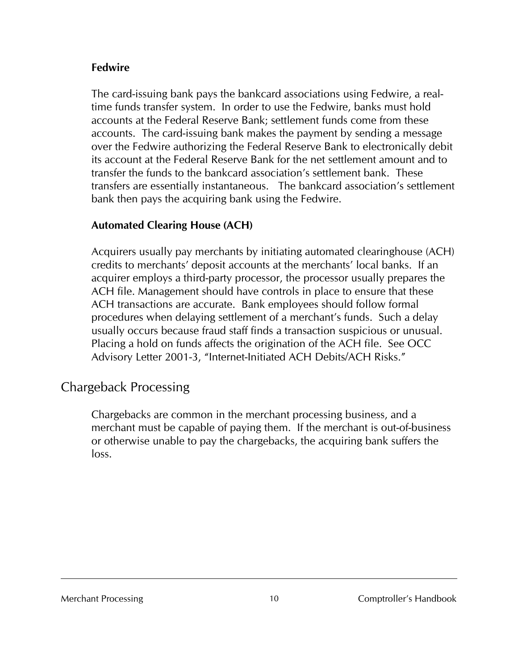#### **Fedwire**

The card-issuing bank pays the bankcard associations using Fedwire, a realtime funds transfer system. In order to use the Fedwire, banks must hold accounts at the Federal Reserve Bank; settlement funds come from these accounts. The card-issuing bank makes the payment by sending a message over the Fedwire authorizing the Federal Reserve Bank to electronically debit its account at the Federal Reserve Bank for the net settlement amount and to transfer the funds to the bankcard association's settlement bank. These transfers are essentially instantaneous. The bankcard association's settlement bank then pays the acquiring bank using the Fedwire.

### **Automated Clearing House (ACH)**

Acquirers usually pay merchants by initiating automated clearinghouse (ACH) credits to merchants' deposit accounts at the merchants' local banks. If an acquirer employs a third-party processor, the processor usually prepares the ACH file. Management should have controls in place to ensure that these ACH transactions are accurate. Bank employees should follow formal procedures when delaying settlement of a merchant's funds. Such a delay usually occurs because fraud staff finds a transaction suspicious or unusual. Placing a hold on funds affects the origination of the ACH file. See OCC Advisory Letter 2001-3, "Internet-Initiated ACH Debits/ACH Risks."

# Chargeback Processing

Chargebacks are common in the merchant processing business, and a merchant must be capable of paying them. If the merchant is out-of-business or otherwise unable to pay the chargebacks, the acquiring bank suffers the loss.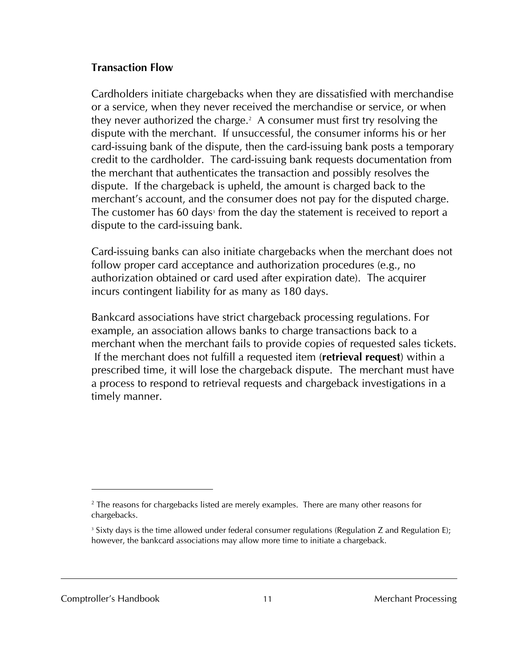#### **Transaction Flow**

Cardholders initiate chargebacks when they are dissatisfied with merchandise or a service, when they never received the merchandise or service, or when they never authorized the charge.<sup>2</sup> A consumer must first try resolving the dispute with the merchant. If unsuccessful, the consumer informs his or her card-issuing bank of the dispute, then the card-issuing bank posts a temporary credit to the cardholder. The card-issuing bank requests documentation from the merchant that authenticates the transaction and possibly resolves the dispute. If the chargeback is upheld, the amount is charged back to the merchant's account, and the consumer does not pay for the disputed charge. The customer has 60 days<sup>3</sup> from the day the statement is received to report a dispute to the card-issuing bank.

Card-issuing banks can also initiate chargebacks when the merchant does not follow proper card acceptance and authorization procedures (e.g., no authorization obtained or card used after expiration date). The acquirer incurs contingent liability for as many as 180 days.

Bankcard associations have strict chargeback processing regulations. For example, an association allows banks to charge transactions back to a merchant when the merchant fails to provide copies of requested sales tickets. If the merchant does not fulfill a requested item (**retrieval request**) within a prescribed time, it will lose the chargeback dispute. The merchant must have a process to respond to retrieval requests and chargeback investigations in a timely manner.

Comptroller's Handbook 11 1 1 Merchant Processing

l

 $2$  The reasons for chargebacks listed are merely examples. There are many other reasons for chargebacks.

<sup>&</sup>lt;sup>3</sup> Sixty days is the time allowed under federal consumer regulations (Regulation Z and Regulation E); however, the bankcard associations may allow more time to initiate a chargeback.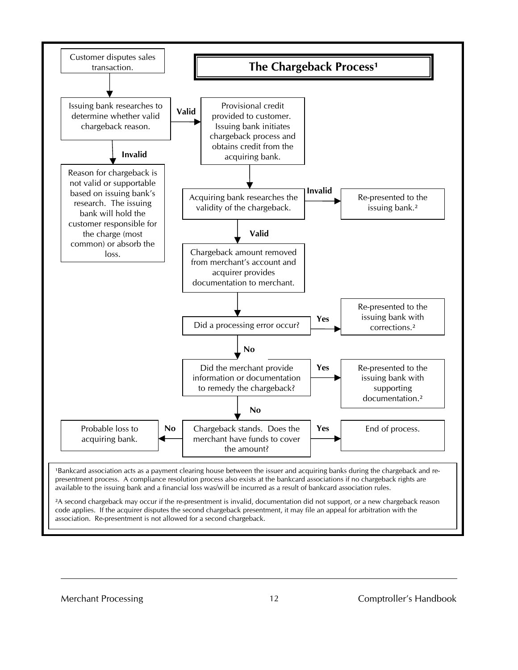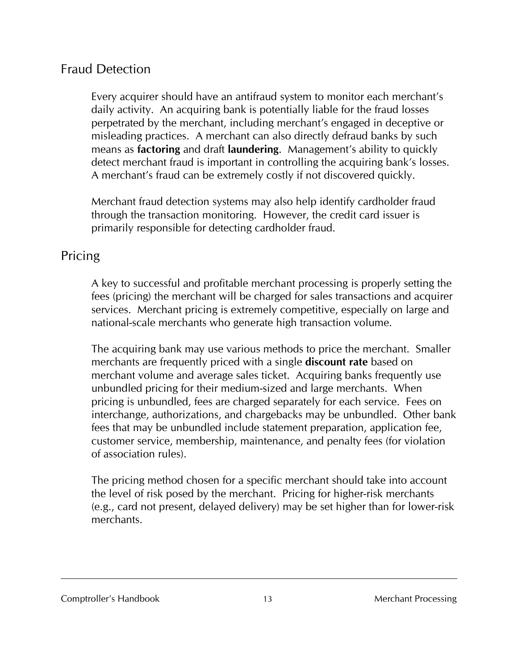# Fraud Detection

Every acquirer should have an antifraud system to monitor each merchant's daily activity. An acquiring bank is potentially liable for the fraud losses perpetrated by the merchant, including merchant's engaged in deceptive or misleading practices. A merchant can also directly defraud banks by such means as **factoring** and draft **laundering**. Management's ability to quickly detect merchant fraud is important in controlling the acquiring bank's losses. A merchant's fraud can be extremely costly if not discovered quickly.

Merchant fraud detection systems may also help identify cardholder fraud through the transaction monitoring. However, the credit card issuer is primarily responsible for detecting cardholder fraud.

# Pricing

A key to successful and profitable merchant processing is properly setting the fees (pricing) the merchant will be charged for sales transactions and acquirer services. Merchant pricing is extremely competitive, especially on large and national-scale merchants who generate high transaction volume.

The acquiring bank may use various methods to price the merchant. Smaller merchants are frequently priced with a single **discount rate** based on merchant volume and average sales ticket. Acquiring banks frequently use unbundled pricing for their medium-sized and large merchants. When pricing is unbundled, fees are charged separately for each service. Fees on interchange, authorizations, and chargebacks may be unbundled. Other bank fees that may be unbundled include statement preparation, application fee, customer service, membership, maintenance, and penalty fees (for violation of association rules).

The pricing method chosen for a specific merchant should take into account the level of risk posed by the merchant. Pricing for higher-risk merchants (e.g., card not present, delayed delivery) may be set higher than for lower-risk merchants.

#### Comptroller's Handbook 13 Merchant Processing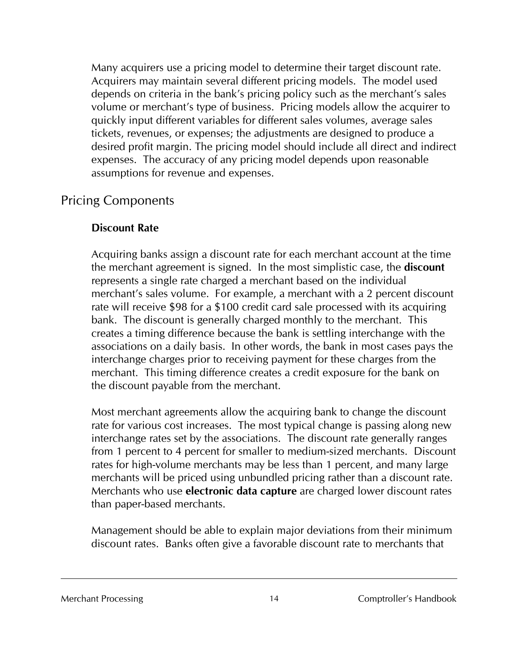Many acquirers use a pricing model to determine their target discount rate. Acquirers may maintain several different pricing models. The model used depends on criteria in the bank's pricing policy such as the merchant's sales volume or merchant's type of business. Pricing models allow the acquirer to quickly input different variables for different sales volumes, average sales tickets, revenues, or expenses; the adjustments are designed to produce a desired profit margin. The pricing model should include all direct and indirect expenses. The accuracy of any pricing model depends upon reasonable assumptions for revenue and expenses.

# Pricing Components

#### **Discount Rate**

Acquiring banks assign a discount rate for each merchant account at the time the merchant agreement is signed. In the most simplistic case, the **discount** represents a single rate charged a merchant based on the individual merchant's sales volume. For example, a merchant with a 2 percent discount rate will receive \$98 for a \$100 credit card sale processed with its acquiring bank. The discount is generally charged monthly to the merchant. This creates a timing difference because the bank is settling interchange with the associations on a daily basis. In other words, the bank in most cases pays the interchange charges prior to receiving payment for these charges from the merchant. This timing difference creates a credit exposure for the bank on the discount payable from the merchant.

Most merchant agreements allow the acquiring bank to change the discount rate for various cost increases. The most typical change is passing along new interchange rates set by the associations. The discount rate generally ranges from 1 percent to 4 percent for smaller to medium-sized merchants. Discount rates for high-volume merchants may be less than 1 percent, and many large merchants will be priced using unbundled pricing rather than a discount rate. Merchants who use **electronic data capture** are charged lower discount rates than paper-based merchants.

Management should be able to explain major deviations from their minimum discount rates. Banks often give a favorable discount rate to merchants that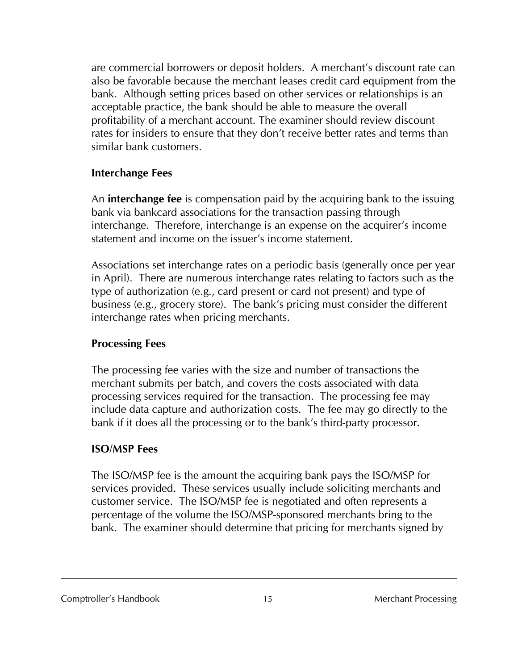are commercial borrowers or deposit holders. A merchant's discount rate can also be favorable because the merchant leases credit card equipment from the bank. Although setting prices based on other services or relationships is an acceptable practice, the bank should be able to measure the overall profitability of a merchant account. The examiner should review discount rates for insiders to ensure that they don't receive better rates and terms than similar bank customers.

#### **Interchange Fees**

An **interchange fee** is compensation paid by the acquiring bank to the issuing bank via bankcard associations for the transaction passing through interchange. Therefore, interchange is an expense on the acquirer's income statement and income on the issuer's income statement.

Associations set interchange rates on a periodic basis (generally once per year in April). There are numerous interchange rates relating to factors such as the type of authorization (e.g., card present or card not present) and type of business (e.g., grocery store). The bank's pricing must consider the different interchange rates when pricing merchants.

### **Processing Fees**

The processing fee varies with the size and number of transactions the merchant submits per batch, and covers the costs associated with data processing services required for the transaction. The processing fee may include data capture and authorization costs. The fee may go directly to the bank if it does all the processing or to the bank's third-party processor.

#### **ISO/MSP Fees**

The ISO/MSP fee is the amount the acquiring bank pays the ISO/MSP for services provided. These services usually include soliciting merchants and customer service. The ISO/MSP fee is negotiated and often represents a percentage of the volume the ISO/MSP-sponsored merchants bring to the bank. The examiner should determine that pricing for merchants signed by

#### Comptroller's Handbook 15 Merchant Processing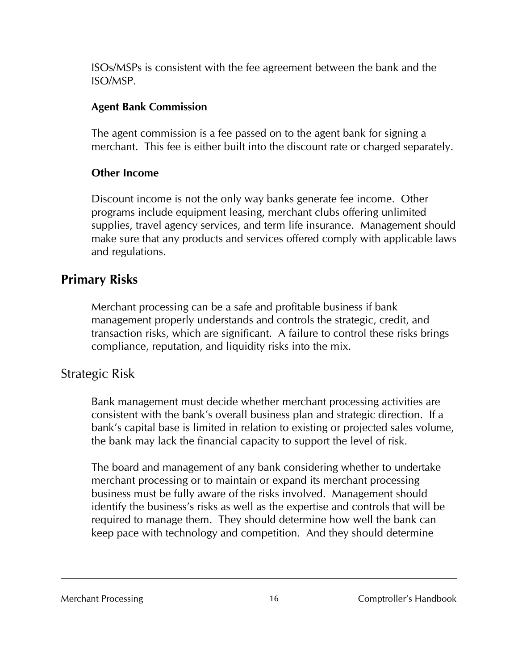ISOs/MSPs is consistent with the fee agreement between the bank and the ISO/MSP.

#### **Agent Bank Commission**

The agent commission is a fee passed on to the agent bank for signing a merchant. This fee is either built into the discount rate or charged separately.

#### **Other Income**

Discount income is not the only way banks generate fee income. Other programs include equipment leasing, merchant clubs offering unlimited supplies, travel agency services, and term life insurance. Management should make sure that any products and services offered comply with applicable laws and regulations.

# **Primary Risks**

Merchant processing can be a safe and profitable business if bank management properly understands and controls the strategic, credit, and transaction risks, which are significant. A failure to control these risks brings compliance, reputation, and liquidity risks into the mix.

# Strategic Risk

Bank management must decide whether merchant processing activities are consistent with the bank's overall business plan and strategic direction. If a bank's capital base is limited in relation to existing or projected sales volume, the bank may lack the financial capacity to support the level of risk.

The board and management of any bank considering whether to undertake merchant processing or to maintain or expand its merchant processing business must be fully aware of the risks involved. Management should identify the business's risks as well as the expertise and controls that will be required to manage them. They should determine how well the bank can keep pace with technology and competition. And they should determine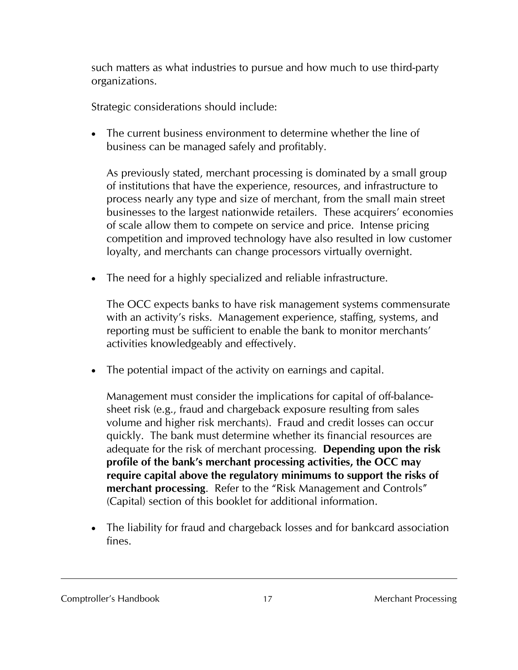such matters as what industries to pursue and how much to use third-party organizations.

Strategic considerations should include:

• The current business environment to determine whether the line of business can be managed safely and profitably.

As previously stated, merchant processing is dominated by a small group of institutions that have the experience, resources, and infrastructure to process nearly any type and size of merchant, from the small main street businesses to the largest nationwide retailers. These acquirers' economies of scale allow them to compete on service and price. Intense pricing competition and improved technology have also resulted in low customer loyalty, and merchants can change processors virtually overnight.

• The need for a highly specialized and reliable infrastructure.

The OCC expects banks to have risk management systems commensurate with an activity's risks. Management experience, staffing, systems, and reporting must be sufficient to enable the bank to monitor merchants' activities knowledgeably and effectively.

• The potential impact of the activity on earnings and capital.

Management must consider the implications for capital of off-balancesheet risk (e.g., fraud and chargeback exposure resulting from sales volume and higher risk merchants). Fraud and credit losses can occur quickly. The bank must determine whether its financial resources are adequate for the risk of merchant processing. **Depending upon the risk profile of the bank's merchant processing activities, the OCC may require capital above the regulatory minimums to support the risks of merchant processing**. Refer to the "Risk Management and Controls" (Capital) section of this booklet for additional information.

• The liability for fraud and chargeback losses and for bankcard association fines.

Comptroller's Handbook 17 17 Merchant Processing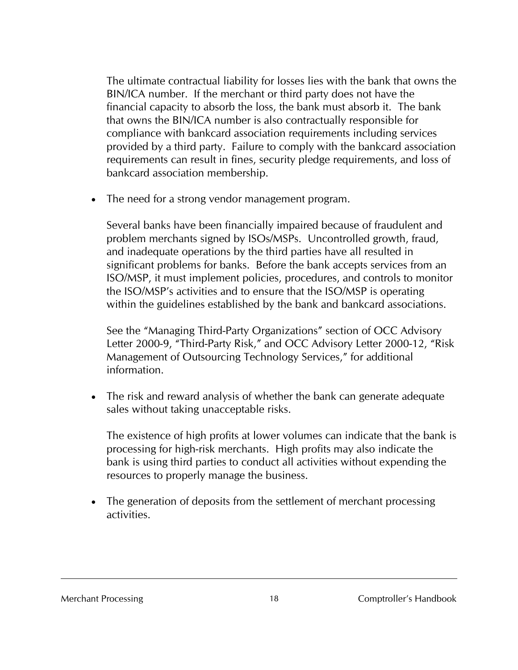The ultimate contractual liability for losses lies with the bank that owns the BIN/ICA number. If the merchant or third party does not have the financial capacity to absorb the loss, the bank must absorb it. The bank that owns the BIN/ICA number is also contractually responsible for compliance with bankcard association requirements including services provided by a third party. Failure to comply with the bankcard association requirements can result in fines, security pledge requirements, and loss of bankcard association membership.

• The need for a strong vendor management program.

Several banks have been financially impaired because of fraudulent and problem merchants signed by ISOs/MSPs. Uncontrolled growth, fraud, and inadequate operations by the third parties have all resulted in significant problems for banks. Before the bank accepts services from an ISO/MSP, it must implement policies, procedures, and controls to monitor the ISO/MSP's activities and to ensure that the ISO/MSP is operating within the guidelines established by the bank and bankcard associations.

See the "Managing Third-Party Organizations" section of OCC Advisory Letter 2000-9, "Third-Party Risk," and OCC Advisory Letter 2000-12, "Risk Management of Outsourcing Technology Services," for additional information.

• The risk and reward analysis of whether the bank can generate adequate sales without taking unacceptable risks.

The existence of high profits at lower volumes can indicate that the bank is processing for high-risk merchants. High profits may also indicate the bank is using third parties to conduct all activities without expending the resources to properly manage the business.

• The generation of deposits from the settlement of merchant processing activities.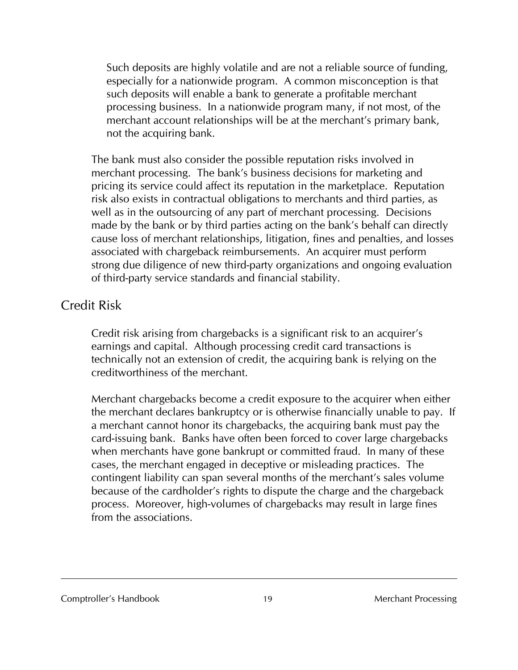Such deposits are highly volatile and are not a reliable source of funding, especially for a nationwide program. A common misconception is that such deposits will enable a bank to generate a profitable merchant processing business. In a nationwide program many, if not most, of the merchant account relationships will be at the merchant's primary bank, not the acquiring bank.

The bank must also consider the possible reputation risks involved in merchant processing. The bank's business decisions for marketing and pricing its service could affect its reputation in the marketplace. Reputation risk also exists in contractual obligations to merchants and third parties, as well as in the outsourcing of any part of merchant processing. Decisions made by the bank or by third parties acting on the bank's behalf can directly cause loss of merchant relationships, litigation, fines and penalties, and losses associated with chargeback reimbursements. An acquirer must perform strong due diligence of new third-party organizations and ongoing evaluation of third-party service standards and financial stability.

# Credit Risk

Credit risk arising from chargebacks is a significant risk to an acquirer's earnings and capital. Although processing credit card transactions is technically not an extension of credit, the acquiring bank is relying on the creditworthiness of the merchant.

Merchant chargebacks become a credit exposure to the acquirer when either the merchant declares bankruptcy or is otherwise financially unable to pay. If a merchant cannot honor its chargebacks, the acquiring bank must pay the card-issuing bank. Banks have often been forced to cover large chargebacks when merchants have gone bankrupt or committed fraud. In many of these cases, the merchant engaged in deceptive or misleading practices. The contingent liability can span several months of the merchant's sales volume because of the cardholder's rights to dispute the charge and the chargeback process. Moreover, high-volumes of chargebacks may result in large fines from the associations.

#### Comptroller's Handbook 19 Merchant Processing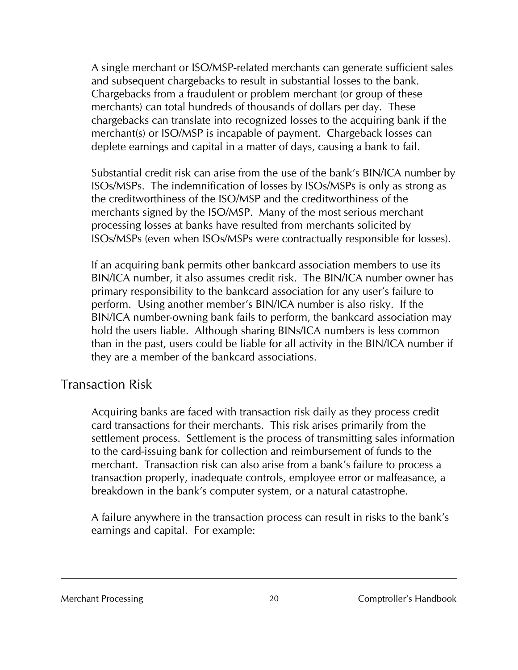A single merchant or ISO/MSP-related merchants can generate sufficient sales and subsequent chargebacks to result in substantial losses to the bank. Chargebacks from a fraudulent or problem merchant (or group of these merchants) can total hundreds of thousands of dollars per day. These chargebacks can translate into recognized losses to the acquiring bank if the merchant(s) or ISO/MSP is incapable of payment. Chargeback losses can deplete earnings and capital in a matter of days, causing a bank to fail.

Substantial credit risk can arise from the use of the bank's BIN/ICA number by ISOs/MSPs. The indemnification of losses by ISOs/MSPs is only as strong as the creditworthiness of the ISO/MSP and the creditworthiness of the merchants signed by the ISO/MSP. Many of the most serious merchant processing losses at banks have resulted from merchants solicited by ISOs/MSPs (even when ISOs/MSPs were contractually responsible for losses).

If an acquiring bank permits other bankcard association members to use its BIN/ICA number, it also assumes credit risk. The BIN/ICA number owner has primary responsibility to the bankcard association for any user's failure to perform. Using another member's BIN/ICA number is also risky. If the BIN/ICA number-owning bank fails to perform, the bankcard association may hold the users liable. Although sharing BINs/ICA numbers is less common than in the past, users could be liable for all activity in the BIN/ICA number if they are a member of the bankcard associations.

# Transaction Risk

Acquiring banks are faced with transaction risk daily as they process credit card transactions for their merchants. This risk arises primarily from the settlement process. Settlement is the process of transmitting sales information to the card-issuing bank for collection and reimbursement of funds to the merchant. Transaction risk can also arise from a bank's failure to process a transaction properly, inadequate controls, employee error or malfeasance, a breakdown in the bank's computer system, or a natural catastrophe.

A failure anywhere in the transaction process can result in risks to the bank's earnings and capital. For example: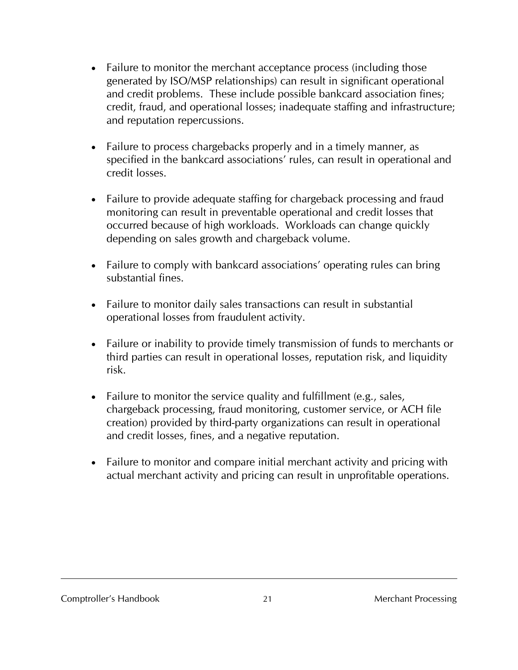- Failure to monitor the merchant acceptance process (including those generated by ISO/MSP relationships) can result in significant operational and credit problems. These include possible bankcard association fines; credit, fraud, and operational losses; inadequate staffing and infrastructure; and reputation repercussions.
- Failure to process chargebacks properly and in a timely manner, as specified in the bankcard associations' rules, can result in operational and credit losses.
- Failure to provide adequate staffing for chargeback processing and fraud monitoring can result in preventable operational and credit losses that occurred because of high workloads. Workloads can change quickly depending on sales growth and chargeback volume.
- Failure to comply with bankcard associations' operating rules can bring substantial fines.
- Failure to monitor daily sales transactions can result in substantial operational losses from fraudulent activity.
- Failure or inability to provide timely transmission of funds to merchants or third parties can result in operational losses, reputation risk, and liquidity risk.
- Failure to monitor the service quality and fulfillment (e.g., sales, chargeback processing, fraud monitoring, customer service, or ACH file creation) provided by third-party organizations can result in operational and credit losses, fines, and a negative reputation.
- Failure to monitor and compare initial merchant activity and pricing with actual merchant activity and pricing can result in unprofitable operations.

Comptroller's Handbook 21 2008 2008 2010 Merchant Processing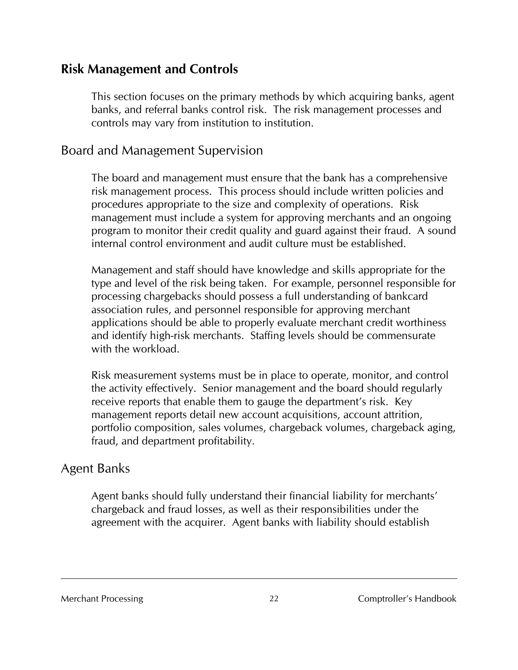# **Risk Management and Controls**

This section focuses on the primary methods by which acquiring banks, agent banks, and referral banks control risk. The risk management processes and controls may vary from institution to institution.

# Board and Management Supervision

The board and management must ensure that the bank has a comprehensive risk management process. This process should include written policies and procedures appropriate to the size and complexity of operations. Risk management must include a system for approving merchants and an ongoing program to monitor their credit quality and guard against their fraud. A sound internal control environment and audit culture must be established.

Management and staff should have knowledge and skills appropriate for the type and level of the risk being taken. For example, personnel responsible for processing chargebacks should possess a full understanding of bankcard association rules, and personnel responsible for approving merchant applications should be able to properly evaluate merchant credit worthiness and identify high-risk merchants. Staffing levels should be commensurate with the workload.

Risk measurement systems must be in place to operate, monitor, and control the activity effectively. Senior management and the board should regularly receive reports that enable them to gauge the department's risk. Key management reports detail new account acquisitions, account attrition, portfolio composition, sales volumes, chargeback volumes, chargeback aging, fraud, and department profitability.

# Agent Banks

Agent banks should fully understand their financial liability for merchants' chargeback and fraud losses, as well as their responsibilities under the agreement with the acquirer. Agent banks with liability should establish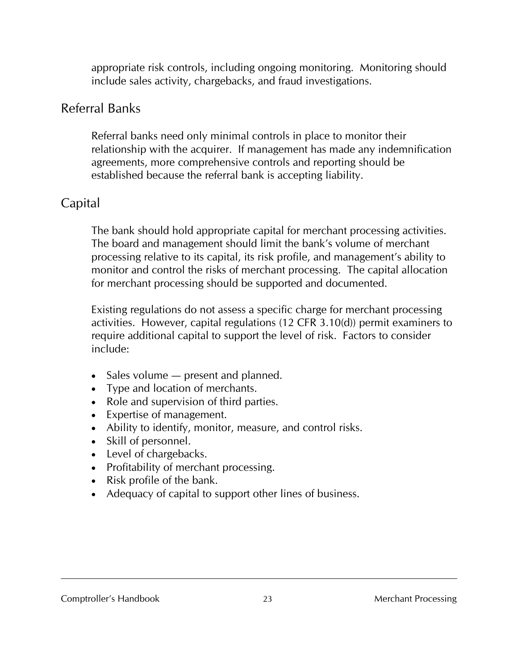appropriate risk controls, including ongoing monitoring. Monitoring should include sales activity, chargebacks, and fraud investigations.

# Referral Banks

Referral banks need only minimal controls in place to monitor their relationship with the acquirer. If management has made any indemnification agreements, more comprehensive controls and reporting should be established because the referral bank is accepting liability.

# Capital

The bank should hold appropriate capital for merchant processing activities. The board and management should limit the bank's volume of merchant processing relative to its capital, its risk profile, and management's ability to monitor and control the risks of merchant processing. The capital allocation for merchant processing should be supported and documented.

Existing regulations do not assess a specific charge for merchant processing activities. However, capital regulations (12 CFR 3.10(d)) permit examiners to require additional capital to support the level of risk. Factors to consider include:

- Sales volume present and planned.
- Type and location of merchants.
- Role and supervision of third parties.
- Expertise of management.
- Ability to identify, monitor, measure, and control risks.
- Skill of personnel.
- Level of chargebacks.
- Profitability of merchant processing.
- Risk profile of the bank.
- Adequacy of capital to support other lines of business.

#### Comptroller's Handbook 23 Merchant Processing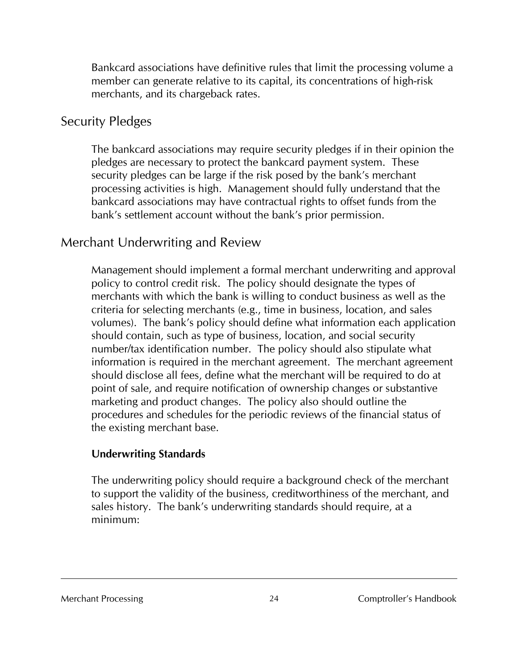Bankcard associations have definitive rules that limit the processing volume a member can generate relative to its capital, its concentrations of high-risk merchants, and its chargeback rates.

# Security Pledges

The bankcard associations may require security pledges if in their opinion the pledges are necessary to protect the bankcard payment system. These security pledges can be large if the risk posed by the bank's merchant processing activities is high. Management should fully understand that the bankcard associations may have contractual rights to offset funds from the bank's settlement account without the bank's prior permission.

# Merchant Underwriting and Review

Management should implement a formal merchant underwriting and approval policy to control credit risk. The policy should designate the types of merchants with which the bank is willing to conduct business as well as the criteria for selecting merchants (e.g., time in business, location, and sales volumes). The bank's policy should define what information each application should contain, such as type of business, location, and social security number/tax identification number. The policy should also stipulate what information is required in the merchant agreement. The merchant agreement should disclose all fees, define what the merchant will be required to do at point of sale, and require notification of ownership changes or substantive marketing and product changes. The policy also should outline the procedures and schedules for the periodic reviews of the financial status of the existing merchant base.

### **Underwriting Standards**

The underwriting policy should require a background check of the merchant to support the validity of the business, creditworthiness of the merchant, and sales history. The bank's underwriting standards should require, at a minimum: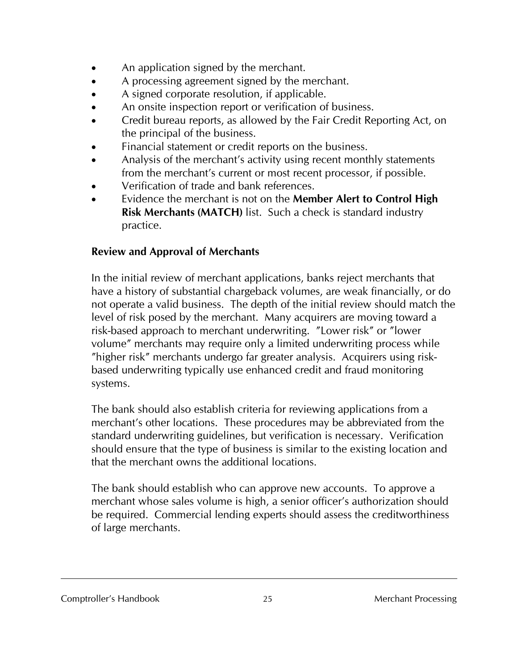- An application signed by the merchant.
- A processing agreement signed by the merchant.
- A signed corporate resolution, if applicable.
- An onsite inspection report or verification of business.
- Credit bureau reports, as allowed by the Fair Credit Reporting Act, on the principal of the business.
- Financial statement or credit reports on the business.
- Analysis of the merchant's activity using recent monthly statements from the merchant's current or most recent processor, if possible.
- Verification of trade and bank references.
- Evidence the merchant is not on the **Member Alert to Control High Risk Merchants (MATCH)** list. Such a check is standard industry practice.

# **Review and Approval of Merchants**

In the initial review of merchant applications, banks reject merchants that have a history of substantial chargeback volumes, are weak financially, or do not operate a valid business. The depth of the initial review should match the level of risk posed by the merchant. Many acquirers are moving toward a risk-based approach to merchant underwriting. "Lower risk" or "lower volume" merchants may require only a limited underwriting process while "higher risk" merchants undergo far greater analysis. Acquirers using riskbased underwriting typically use enhanced credit and fraud monitoring systems.

The bank should also establish criteria for reviewing applications from a merchant's other locations. These procedures may be abbreviated from the standard underwriting guidelines, but verification is necessary. Verification should ensure that the type of business is similar to the existing location and that the merchant owns the additional locations.

The bank should establish who can approve new accounts. To approve a merchant whose sales volume is high, a senior officer's authorization should be required. Commercial lending experts should assess the creditworthiness of large merchants.

#### Comptroller's Handbook 25 20 Merchant Processing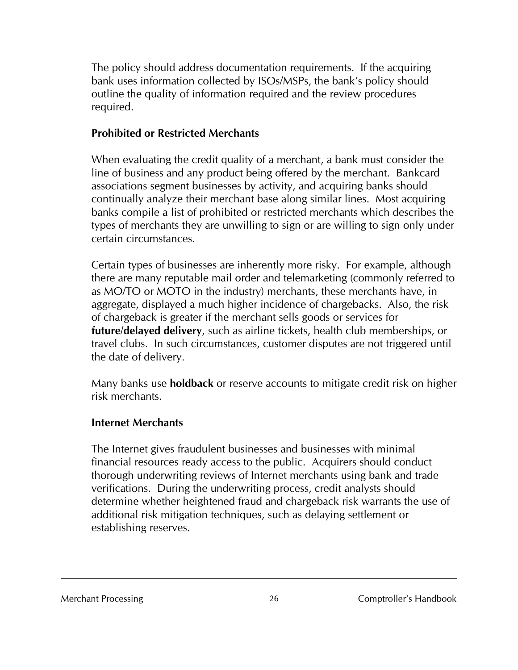The policy should address documentation requirements. If the acquiring bank uses information collected by ISOs/MSPs, the bank's policy should outline the quality of information required and the review procedures required.

### **Prohibited or Restricted Merchants**

When evaluating the credit quality of a merchant, a bank must consider the line of business and any product being offered by the merchant. Bankcard associations segment businesses by activity, and acquiring banks should continually analyze their merchant base along similar lines. Most acquiring banks compile a list of prohibited or restricted merchants which describes the types of merchants they are unwilling to sign or are willing to sign only under certain circumstances.

Certain types of businesses are inherently more risky. For example, although there are many reputable mail order and telemarketing (commonly referred to as MO/TO or MOTO in the industry) merchants, these merchants have, in aggregate, displayed a much higher incidence of chargebacks. Also, the risk of chargeback is greater if the merchant sells goods or services for **future/delayed delivery**, such as airline tickets, health club memberships, or travel clubs. In such circumstances, customer disputes are not triggered until the date of delivery.

Many banks use **holdback** or reserve accounts to mitigate credit risk on higher risk merchants.

### **Internet Merchants**

The Internet gives fraudulent businesses and businesses with minimal financial resources ready access to the public. Acquirers should conduct thorough underwriting reviews of Internet merchants using bank and trade verifications. During the underwriting process, credit analysts should determine whether heightened fraud and chargeback risk warrants the use of additional risk mitigation techniques, such as delaying settlement or establishing reserves.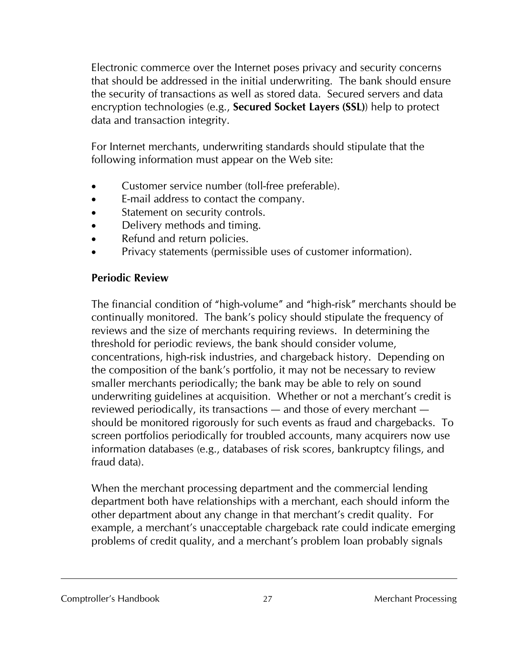Electronic commerce over the Internet poses privacy and security concerns that should be addressed in the initial underwriting. The bank should ensure the security of transactions as well as stored data. Secured servers and data encryption technologies (e.g., **Secured Socket Layers (SSL)**) help to protect data and transaction integrity.

For Internet merchants, underwriting standards should stipulate that the following information must appear on the Web site:

- Customer service number (toll-free preferable).
- E-mail address to contact the company.
- Statement on security controls.
- Delivery methods and timing.
- Refund and return policies.
- Privacy statements (permissible uses of customer information).

# **Periodic Review**

The financial condition of "high-volume" and "high-risk" merchants should be continually monitored. The bank's policy should stipulate the frequency of reviews and the size of merchants requiring reviews. In determining the threshold for periodic reviews, the bank should consider volume, concentrations, high-risk industries, and chargeback history. Depending on the composition of the bank's portfolio, it may not be necessary to review smaller merchants periodically; the bank may be able to rely on sound underwriting guidelines at acquisition. Whether or not a merchant's credit is reviewed periodically, its transactions — and those of every merchant should be monitored rigorously for such events as fraud and chargebacks. To screen portfolios periodically for troubled accounts, many acquirers now use information databases (e.g., databases of risk scores, bankruptcy filings, and fraud data).

When the merchant processing department and the commercial lending department both have relationships with a merchant, each should inform the other department about any change in that merchant's credit quality. For example, a merchant's unacceptable chargeback rate could indicate emerging problems of credit quality, and a merchant's problem loan probably signals

#### Comptroller's Handbook 27 2008 2009 Merchant Processing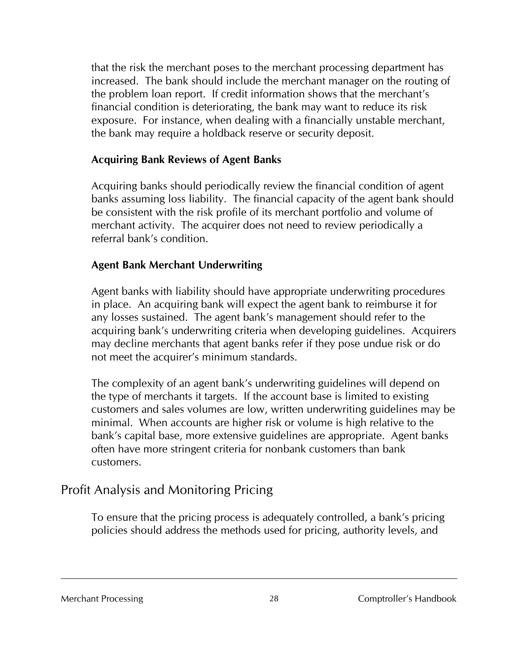that the risk the merchant poses to the merchant processing department has increased. The bank should include the merchant manager on the routing of the problem loan report. If credit information shows that the merchant's financial condition is deteriorating, the bank may want to reduce its risk exposure. For instance, when dealing with a financially unstable merchant, the bank may require a holdback reserve or security deposit.

#### **Acquiring Bank Reviews of Agent Banks**

Acquiring banks should periodically review the financial condition of agent banks assuming loss liability. The financial capacity of the agent bank should be consistent with the risk profile of its merchant portfolio and volume of merchant activity. The acquirer does not need to review periodically a referral bank's condition.

### **Agent Bank Merchant Underwriting**

Agent banks with liability should have appropriate underwriting procedures in place. An acquiring bank will expect the agent bank to reimburse it for any losses sustained. The agent bank's management should refer to the acquiring bank's underwriting criteria when developing guidelines. Acquirers may decline merchants that agent banks refer if they pose undue risk or do not meet the acquirer's minimum standards.

The complexity of an agent bank's underwriting guidelines will depend on the type of merchants it targets. If the account base is limited to existing customers and sales volumes are low, written underwriting guidelines may be minimal. When accounts are higher risk or volume is high relative to the bank's capital base, more extensive guidelines are appropriate. Agent banks often have more stringent criteria for nonbank customers than bank customers.

# Profit Analysis and Monitoring Pricing

To ensure that the pricing process is adequately controlled, a bank's pricing policies should address the methods used for pricing, authority levels, and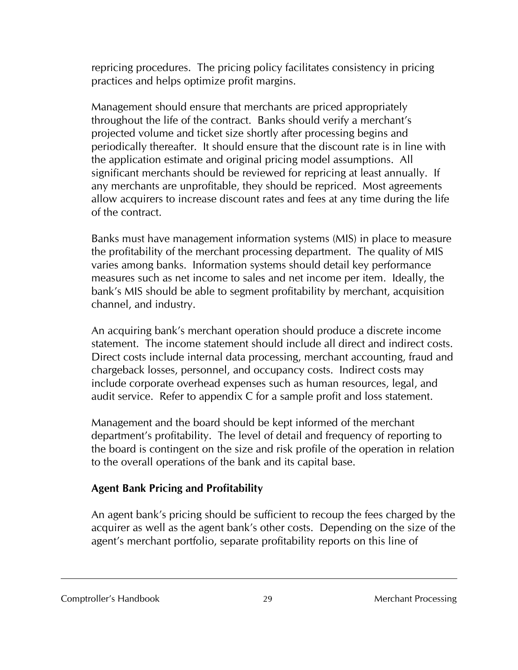repricing procedures. The pricing policy facilitates consistency in pricing practices and helps optimize profit margins.

Management should ensure that merchants are priced appropriately throughout the life of the contract. Banks should verify a merchant's projected volume and ticket size shortly after processing begins and periodically thereafter. It should ensure that the discount rate is in line with the application estimate and original pricing model assumptions. All significant merchants should be reviewed for repricing at least annually. If any merchants are unprofitable, they should be repriced. Most agreements allow acquirers to increase discount rates and fees at any time during the life of the contract.

Banks must have management information systems (MIS) in place to measure the profitability of the merchant processing department. The quality of MIS varies among banks. Information systems should detail key performance measures such as net income to sales and net income per item. Ideally, the bank's MIS should be able to segment profitability by merchant, acquisition channel, and industry.

An acquiring bank's merchant operation should produce a discrete income statement. The income statement should include all direct and indirect costs. Direct costs include internal data processing, merchant accounting, fraud and chargeback losses, personnel, and occupancy costs. Indirect costs may include corporate overhead expenses such as human resources, legal, and audit service. Refer to appendix C for a sample profit and loss statement.

Management and the board should be kept informed of the merchant department's profitability. The level of detail and frequency of reporting to the board is contingent on the size and risk profile of the operation in relation to the overall operations of the bank and its capital base.

### **Agent Bank Pricing and Profitability**

An agent bank's pricing should be sufficient to recoup the fees charged by the acquirer as well as the agent bank's other costs. Depending on the size of the agent's merchant portfolio, separate profitability reports on this line of

#### Comptroller's Handbook 29 Merchant Processing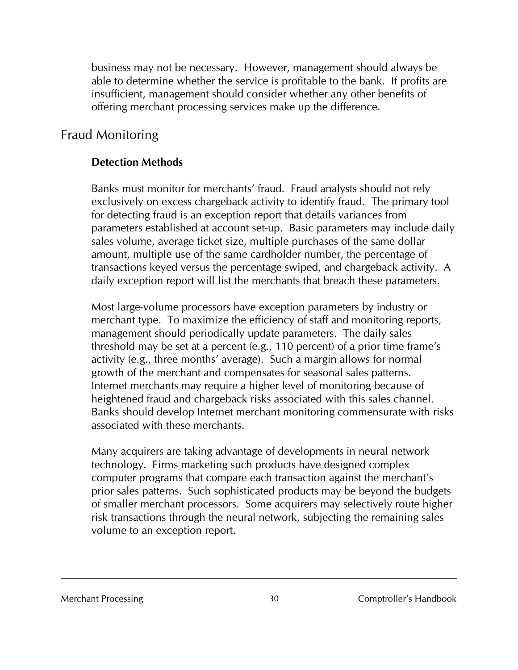business may not be necessary. However, management should always be able to determine whether the service is profitable to the bank. If profits are insufficient, management should consider whether any other benefits of offering merchant processing services make up the difference.

# Fraud Monitoring

## **Detection Methods**

Banks must monitor for merchants' fraud. Fraud analysts should not rely exclusively on excess chargeback activity to identify fraud. The primary tool for detecting fraud is an exception report that details variances from parameters established at account set-up. Basic parameters may include daily sales volume, average ticket size, multiple purchases of the same dollar amount, multiple use of the same cardholder number, the percentage of transactions keyed versus the percentage swiped, and chargeback activity. A daily exception report will list the merchants that breach these parameters.

Most large-volume processors have exception parameters by industry or merchant type. To maximize the efficiency of staff and monitoring reports, management should periodically update parameters. The daily sales threshold may be set at a percent (e.g., 110 percent) of a prior time frame's activity (e.g., three months' average). Such a margin allows for normal growth of the merchant and compensates for seasonal sales patterns. Internet merchants may require a higher level of monitoring because of heightened fraud and chargeback risks associated with this sales channel. Banks should develop Internet merchant monitoring commensurate with risks associated with these merchants.

Many acquirers are taking advantage of developments in neural network technology. Firms marketing such products have designed complex computer programs that compare each transaction against the merchant's prior sales patterns. Such sophisticated products may be beyond the budgets of smaller merchant processors. Some acquirers may selectively route higher risk transactions through the neural network, subjecting the remaining sales volume to an exception report.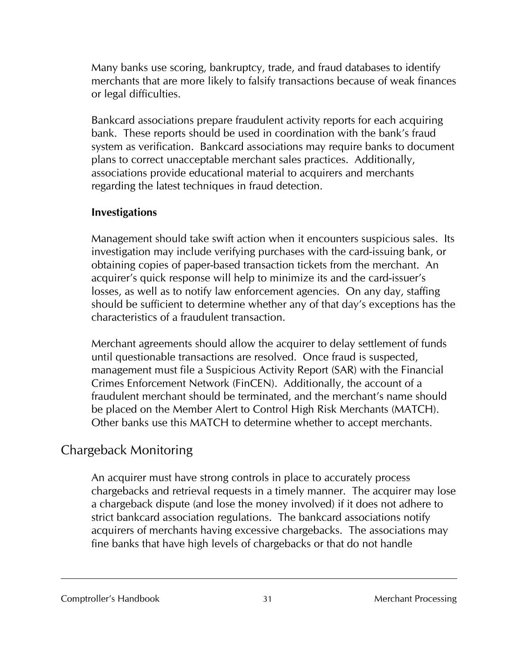Many banks use scoring, bankruptcy, trade, and fraud databases to identify merchants that are more likely to falsify transactions because of weak finances or legal difficulties.

Bankcard associations prepare fraudulent activity reports for each acquiring bank. These reports should be used in coordination with the bank's fraud system as verification. Bankcard associations may require banks to document plans to correct unacceptable merchant sales practices. Additionally, associations provide educational material to acquirers and merchants regarding the latest techniques in fraud detection.

#### **Investigations**

Management should take swift action when it encounters suspicious sales. Its investigation may include verifying purchases with the card-issuing bank, or obtaining copies of paper-based transaction tickets from the merchant. An acquirer's quick response will help to minimize its and the card-issuer's losses, as well as to notify law enforcement agencies. On any day, staffing should be sufficient to determine whether any of that day's exceptions has the characteristics of a fraudulent transaction.

Merchant agreements should allow the acquirer to delay settlement of funds until questionable transactions are resolved. Once fraud is suspected, management must file a Suspicious Activity Report (SAR) with the Financial Crimes Enforcement Network (FinCEN). Additionally, the account of a fraudulent merchant should be terminated, and the merchant's name should be placed on the Member Alert to Control High Risk Merchants (MATCH). Other banks use this MATCH to determine whether to accept merchants.

# Chargeback Monitoring

An acquirer must have strong controls in place to accurately process chargebacks and retrieval requests in a timely manner. The acquirer may lose a chargeback dispute (and lose the money involved) if it does not adhere to strict bankcard association regulations. The bankcard associations notify acquirers of merchants having excessive chargebacks. The associations may fine banks that have high levels of chargebacks or that do not handle

#### Comptroller's Handbook 31 31 Merchant Processing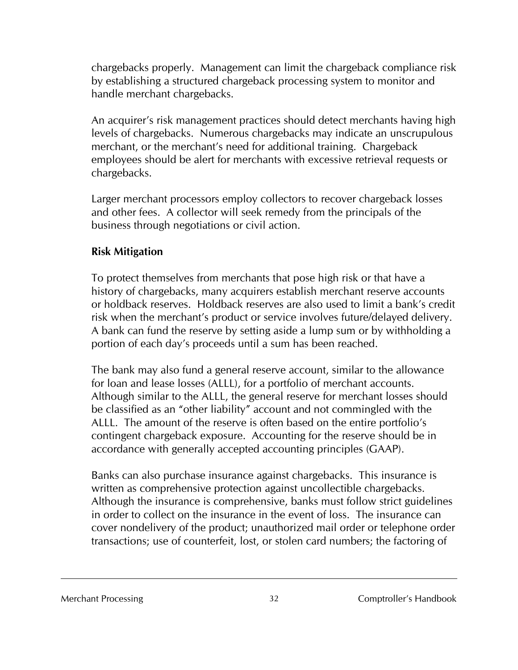chargebacks properly. Management can limit the chargeback compliance risk by establishing a structured chargeback processing system to monitor and handle merchant chargebacks.

An acquirer's risk management practices should detect merchants having high levels of chargebacks. Numerous chargebacks may indicate an unscrupulous merchant, or the merchant's need for additional training. Chargeback employees should be alert for merchants with excessive retrieval requests or chargebacks.

Larger merchant processors employ collectors to recover chargeback losses and other fees. A collector will seek remedy from the principals of the business through negotiations or civil action.

#### **Risk Mitigation**

To protect themselves from merchants that pose high risk or that have a history of chargebacks, many acquirers establish merchant reserve accounts or holdback reserves. Holdback reserves are also used to limit a bank's credit risk when the merchant's product or service involves future/delayed delivery. A bank can fund the reserve by setting aside a lump sum or by withholding a portion of each day's proceeds until a sum has been reached.

The bank may also fund a general reserve account, similar to the allowance for loan and lease losses (ALLL), for a portfolio of merchant accounts. Although similar to the ALLL, the general reserve for merchant losses should be classified as an "other liability" account and not commingled with the ALLL. The amount of the reserve is often based on the entire portfolio's contingent chargeback exposure. Accounting for the reserve should be in accordance with generally accepted accounting principles (GAAP).

Banks can also purchase insurance against chargebacks. This insurance is written as comprehensive protection against uncollectible chargebacks. Although the insurance is comprehensive, banks must follow strict guidelines in order to collect on the insurance in the event of loss. The insurance can cover nondelivery of the product; unauthorized mail order or telephone order transactions; use of counterfeit, lost, or stolen card numbers; the factoring of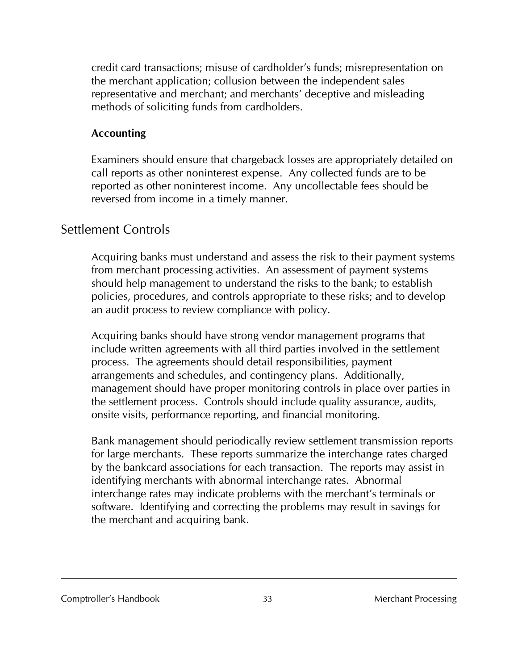credit card transactions; misuse of cardholder's funds; misrepresentation on the merchant application; collusion between the independent sales representative and merchant; and merchants' deceptive and misleading methods of soliciting funds from cardholders.

#### **Accounting**

Examiners should ensure that chargeback losses are appropriately detailed on call reports as other noninterest expense. Any collected funds are to be reported as other noninterest income. Any uncollectable fees should be reversed from income in a timely manner.

# Settlement Controls

Acquiring banks must understand and assess the risk to their payment systems from merchant processing activities. An assessment of payment systems should help management to understand the risks to the bank; to establish policies, procedures, and controls appropriate to these risks; and to develop an audit process to review compliance with policy.

Acquiring banks should have strong vendor management programs that include written agreements with all third parties involved in the settlement process. The agreements should detail responsibilities, payment arrangements and schedules, and contingency plans. Additionally, management should have proper monitoring controls in place over parties in the settlement process. Controls should include quality assurance, audits, onsite visits, performance reporting, and financial monitoring.

Bank management should periodically review settlement transmission reports for large merchants. These reports summarize the interchange rates charged by the bankcard associations for each transaction. The reports may assist in identifying merchants with abnormal interchange rates. Abnormal interchange rates may indicate problems with the merchant's terminals or software. Identifying and correcting the problems may result in savings for the merchant and acquiring bank.

#### Comptroller's Handbook 33 33 Merchant Processing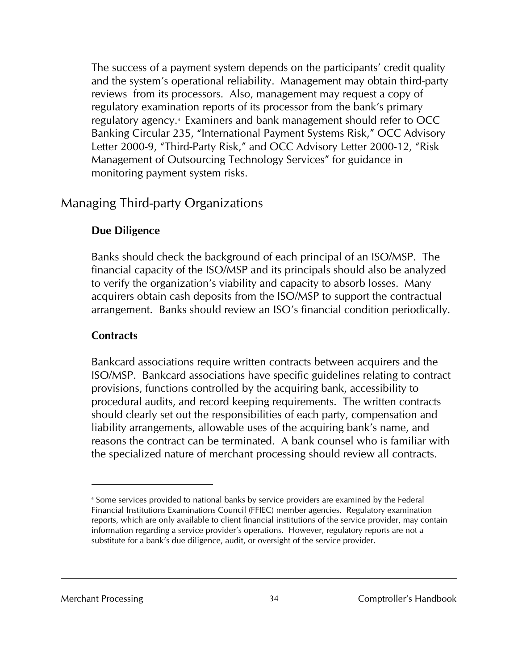The success of a payment system depends on the participants' credit quality and the system's operational reliability. Management may obtain third-party reviews from its processors. Also, management may request a copy of regulatory examination reports of its processor from the bank's primary regulatory agency.4 Examiners and bank management should refer to OCC Banking Circular 235, "International Payment Systems Risk," OCC Advisory Letter 2000-9, "Third-Party Risk," and OCC Advisory Letter 2000-12, "Risk Management of Outsourcing Technology Services" for guidance in monitoring payment system risks.

### Managing Third-party Organizations

#### **Due Diligence**

Banks should check the background of each principal of an ISO/MSP. The financial capacity of the ISO/MSP and its principals should also be analyzed to verify the organization's viability and capacity to absorb losses. Many acquirers obtain cash deposits from the ISO/MSP to support the contractual arrangement. Banks should review an ISO's financial condition periodically.

#### **Contracts**

Bankcard associations require written contracts between acquirers and the ISO/MSP. Bankcard associations have specific guidelines relating to contract provisions, functions controlled by the acquiring bank, accessibility to procedural audits, and record keeping requirements. The written contracts should clearly set out the responsibilities of each party, compensation and liability arrangements, allowable uses of the acquiring bank's name, and reasons the contract can be terminated. A bank counsel who is familiar with the specialized nature of merchant processing should review all contracts.

l

<sup>4</sup> Some services provided to national banks by service providers are examined by the Federal Financial Institutions Examinations Council (FFIEC) member agencies. Regulatory examination reports, which are only available to client financial institutions of the service provider, may contain information regarding a service provider's operations. However, regulatory reports are not a substitute for a bank's due diligence, audit, or oversight of the service provider.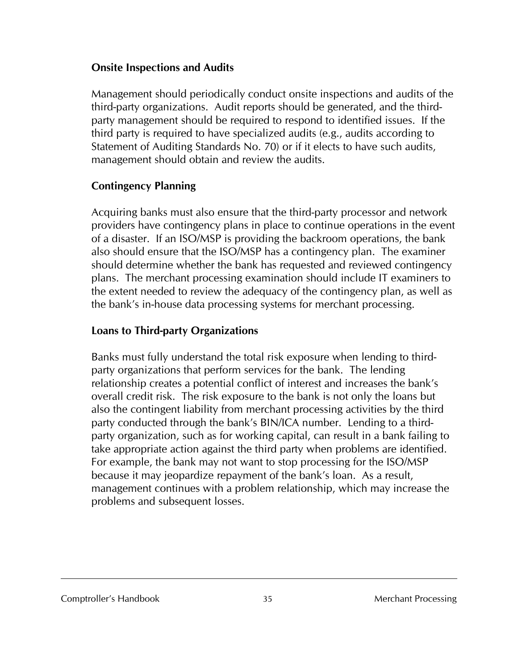#### **Onsite Inspections and Audits**

Management should periodically conduct onsite inspections and audits of the third-party organizations. Audit reports should be generated, and the thirdparty management should be required to respond to identified issues. If the third party is required to have specialized audits (e.g., audits according to Statement of Auditing Standards No. 70) or if it elects to have such audits, management should obtain and review the audits.

#### **Contingency Planning**

Acquiring banks must also ensure that the third-party processor and network providers have contingency plans in place to continue operations in the event of a disaster. If an ISO/MSP is providing the backroom operations, the bank also should ensure that the ISO/MSP has a contingency plan. The examiner should determine whether the bank has requested and reviewed contingency plans. The merchant processing examination should include IT examiners to the extent needed to review the adequacy of the contingency plan, as well as the bank's in-house data processing systems for merchant processing.

### **Loans to Third-party Organizations**

Banks must fully understand the total risk exposure when lending to thirdparty organizations that perform services for the bank. The lending relationship creates a potential conflict of interest and increases the bank's overall credit risk. The risk exposure to the bank is not only the loans but also the contingent liability from merchant processing activities by the third party conducted through the bank's BIN/ICA number. Lending to a thirdparty organization, such as for working capital, can result in a bank failing to take appropriate action against the third party when problems are identified. For example, the bank may not want to stop processing for the ISO/MSP because it may jeopardize repayment of the bank's loan. As a result, management continues with a problem relationship, which may increase the problems and subsequent losses.

Comptroller's Handbook 35 35 Merchant Processing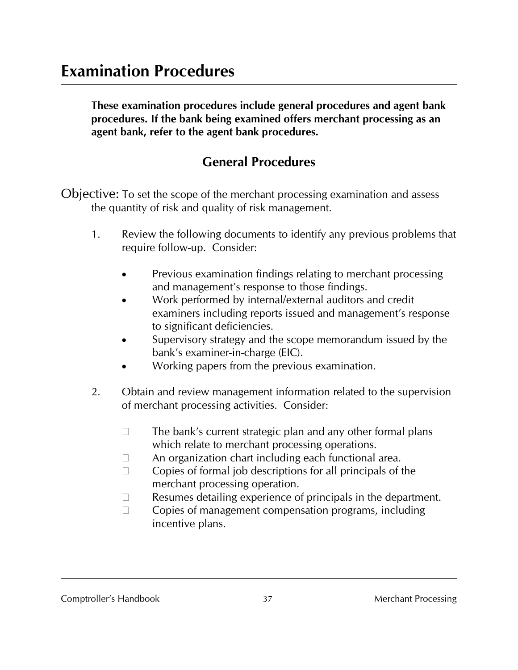**These examination procedures include general procedures and agent bank procedures. If the bank being examined offers merchant processing as an agent bank, refer to the agent bank procedures.**

# **General Procedures**

Objective: To set the scope of the merchant processing examination and assess the quantity of risk and quality of risk management.

- 1. Review the following documents to identify any previous problems that require follow-up. Consider:
	- Previous examination findings relating to merchant processing and management's response to those findings.
	- Work performed by internal/external auditors and credit examiners including reports issued and management's response to significant deficiencies.
	- Supervisory strategy and the scope memorandum issued by the bank's examiner-in-charge (EIC).
	- Working papers from the previous examination.
- 2. Obtain and review management information related to the supervision of merchant processing activities. Consider:
	- $\Box$  The bank's current strategic plan and any other formal plans which relate to merchant processing operations.
	- $\Box$  An organization chart including each functional area.
	- $\Box$  Copies of formal job descriptions for all principals of the merchant processing operation.
	- $\Box$  Resumes detailing experience of principals in the department.
	- $\Box$  Copies of management compensation programs, including incentive plans.

#### Comptroller's Handbook 37 Merchant Processing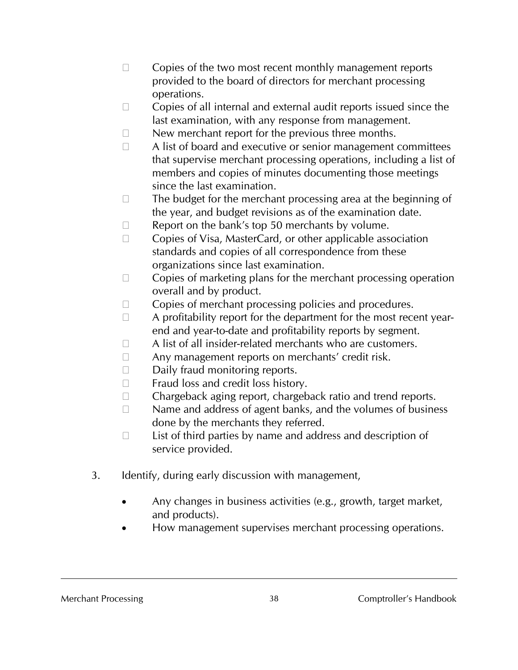- $\Box$  Copies of the two most recent monthly management reports provided to the board of directors for merchant processing operations.
- $\Box$  Copies of all internal and external audit reports issued since the last examination, with any response from management.
- $\Box$  New merchant report for the previous three months.
- $\Box$  A list of board and executive or senior management committees that supervise merchant processing operations, including a list of members and copies of minutes documenting those meetings since the last examination.
- $\square$  The budget for the merchant processing area at the beginning of the year, and budget revisions as of the examination date.
- $\Box$  Report on the bank's top 50 merchants by volume.
- $\Box$  Copies of Visa, MasterCard, or other applicable association standards and copies of all correspondence from these organizations since last examination.
- $\Box$  Copies of marketing plans for the merchant processing operation overall and by product.
- $\Box$  Copies of merchant processing policies and procedures.
- $\Box$  A profitability report for the department for the most recent yearend and year-to-date and profitability reports by segment.
- $\Box$  A list of all insider-related merchants who are customers.
- $\Box$  Any management reports on merchants' credit risk.
- $\Box$  Daily fraud monitoring reports.
- $\Box$  Fraud loss and credit loss history.
- $\Box$  Chargeback aging report, chargeback ratio and trend reports.
- $\Box$  Name and address of agent banks, and the volumes of business done by the merchants they referred.
- $\Box$  List of third parties by name and address and description of service provided.
- 3. Identify, during early discussion with management,
	- Any changes in business activities (e.g., growth, target market, and products).
	- How management supervises merchant processing operations.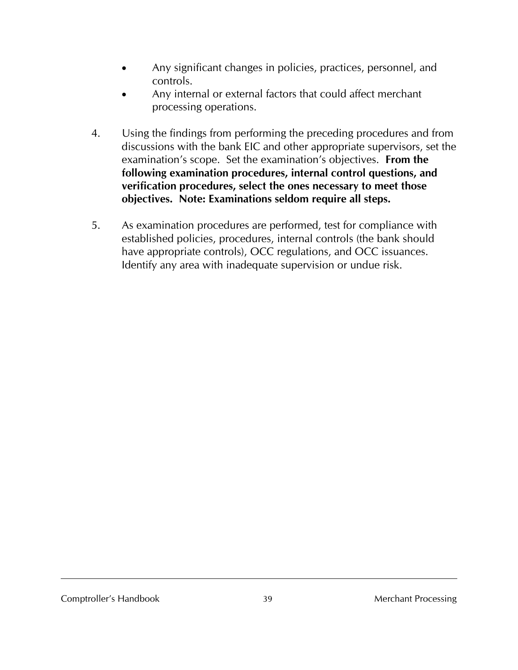- Any significant changes in policies, practices, personnel, and controls.
- Any internal or external factors that could affect merchant processing operations.
- 4. Using the findings from performing the preceding procedures and from discussions with the bank EIC and other appropriate supervisors, set the examination's scope. Set the examination's objectives. **From the following examination procedures, internal control questions, and verification procedures, select the ones necessary to meet those objectives. Note: Examinations seldom require all steps.**
- 5. As examination procedures are performed, test for compliance with established policies, procedures, internal controls (the bank should have appropriate controls), OCC regulations, and OCC issuances. Identify any area with inadequate supervision or undue risk.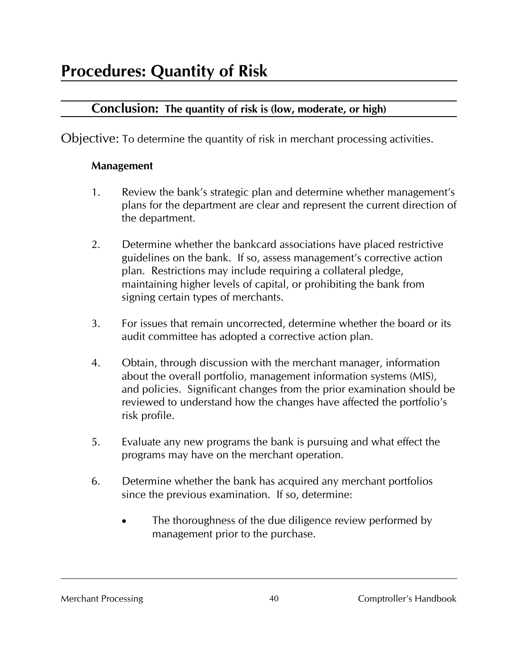## **Conclusion: The quantity of risk is (low, moderate, or high)**

Objective: To determine the quantity of risk in merchant processing activities.

#### **Management**

- 1. Review the bank's strategic plan and determine whether management's plans for the department are clear and represent the current direction of the department.
- 2. Determine whether the bankcard associations have placed restrictive guidelines on the bank. If so, assess management's corrective action plan. Restrictions may include requiring a collateral pledge, maintaining higher levels of capital, or prohibiting the bank from signing certain types of merchants.
- 3. For issues that remain uncorrected, determine whether the board or its audit committee has adopted a corrective action plan.
- 4. Obtain, through discussion with the merchant manager, information about the overall portfolio, management information systems (MIS), and policies. Significant changes from the prior examination should be reviewed to understand how the changes have affected the portfolio's risk profile.
- 5. Evaluate any new programs the bank is pursuing and what effect the programs may have on the merchant operation.
- 6. Determine whether the bank has acquired any merchant portfolios since the previous examination. If so, determine:
	- The thoroughness of the due diligence review performed by management prior to the purchase.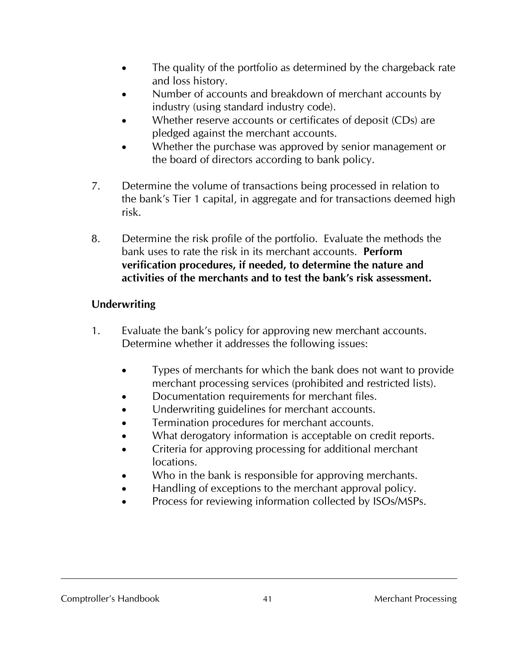- The quality of the portfolio as determined by the chargeback rate and loss history.
- Number of accounts and breakdown of merchant accounts by industry (using standard industry code).
- Whether reserve accounts or certificates of deposit (CDs) are pledged against the merchant accounts.
- Whether the purchase was approved by senior management or the board of directors according to bank policy.
- 7. Determine the volume of transactions being processed in relation to the bank's Tier 1 capital, in aggregate and for transactions deemed high risk.
- 8. Determine the risk profile of the portfolio. Evaluate the methods the bank uses to rate the risk in its merchant accounts. **Perform verification procedures, if needed, to determine the nature and activities of the merchants and to test the bank's risk assessment.**

#### **Underwriting**

- 1. Evaluate the bank's policy for approving new merchant accounts. Determine whether it addresses the following issues:
	- Types of merchants for which the bank does not want to provide merchant processing services (prohibited and restricted lists).
	- Documentation requirements for merchant files.
	- Underwriting guidelines for merchant accounts.
	- Termination procedures for merchant accounts.
	- What derogatory information is acceptable on credit reports.
	- Criteria for approving processing for additional merchant locations.
	- Who in the bank is responsible for approving merchants.
	- Handling of exceptions to the merchant approval policy.
	- Process for reviewing information collected by ISOs/MSPs.

#### Comptroller's Handbook  $\overline{41}$  41 Merchant Processing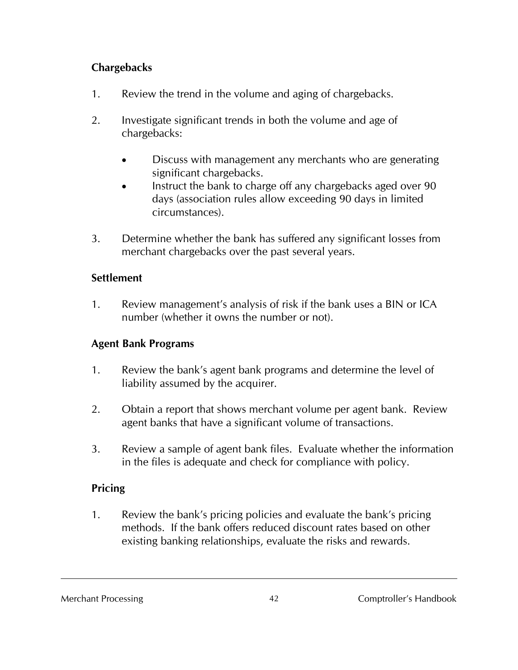#### **Chargebacks**

- 1. Review the trend in the volume and aging of chargebacks.
- 2. Investigate significant trends in both the volume and age of chargebacks:
	- Discuss with management any merchants who are generating significant chargebacks.
	- Instruct the bank to charge off any chargebacks aged over 90 days (association rules allow exceeding 90 days in limited circumstances).
- 3. Determine whether the bank has suffered any significant losses from merchant chargebacks over the past several years.

#### **Settlement**

1. Review management's analysis of risk if the bank uses a BIN or ICA number (whether it owns the number or not).

### **Agent Bank Programs**

- 1. Review the bank's agent bank programs and determine the level of liability assumed by the acquirer.
- 2. Obtain a report that shows merchant volume per agent bank. Review agent banks that have a significant volume of transactions.
- 3. Review a sample of agent bank files. Evaluate whether the information in the files is adequate and check for compliance with policy.

### **Pricing**

1. Review the bank's pricing policies and evaluate the bank's pricing methods. If the bank offers reduced discount rates based on other existing banking relationships, evaluate the risks and rewards.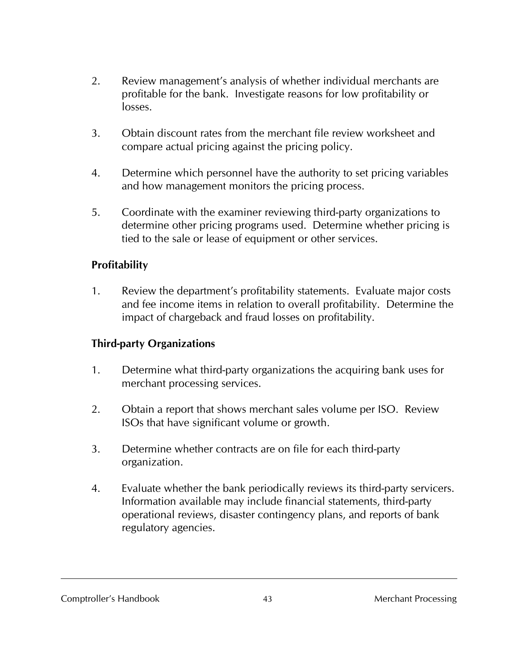- 2. Review management's analysis of whether individual merchants are profitable for the bank. Investigate reasons for low profitability or losses.
- 3. Obtain discount rates from the merchant file review worksheet and compare actual pricing against the pricing policy.
- 4. Determine which personnel have the authority to set pricing variables and how management monitors the pricing process.
- 5. Coordinate with the examiner reviewing third-party organizations to determine other pricing programs used. Determine whether pricing is tied to the sale or lease of equipment or other services.

#### **Profitability**

1. Review the department's profitability statements. Evaluate major costs and fee income items in relation to overall profitability. Determine the impact of chargeback and fraud losses on profitability.

#### **Third-party Organizations**

- 1. Determine what third-party organizations the acquiring bank uses for merchant processing services.
- 2. Obtain a report that shows merchant sales volume per ISO. Review ISOs that have significant volume or growth.
- 3. Determine whether contracts are on file for each third-party organization.
- 4. Evaluate whether the bank periodically reviews its third-party servicers. Information available may include financial statements, third-party operational reviews, disaster contingency plans, and reports of bank regulatory agencies.

#### Comptroller's Handbook 43 Merchant Processing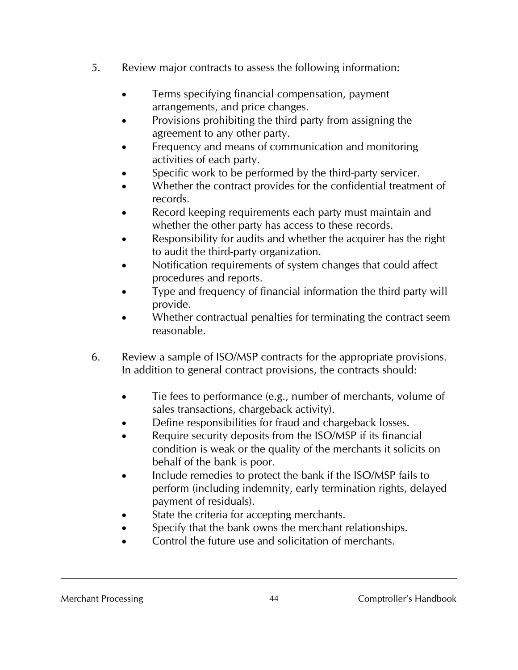- 5. Review major contracts to assess the following information:
	- Terms specifying financial compensation, payment arrangements, and price changes.
	- Provisions prohibiting the third party from assigning the agreement to any other party.
	- Frequency and means of communication and monitoring activities of each party.
	- Specific work to be performed by the third-party servicer.
	- Whether the contract provides for the confidential treatment of records.
	- Record keeping requirements each party must maintain and whether the other party has access to these records.
	- Responsibility for audits and whether the acquirer has the right to audit the third-party organization.
	- Notification requirements of system changes that could affect procedures and reports.
	- Type and frequency of financial information the third party will provide.
	- Whether contractual penalties for terminating the contract seem reasonable.
- 6. Review a sample of ISO/MSP contracts for the appropriate provisions. In addition to general contract provisions, the contracts should:
	- Tie fees to performance (e.g., number of merchants, volume of sales transactions, chargeback activity).
	- Define responsibilities for fraud and chargeback losses.
	- Require security deposits from the ISO/MSP if its financial condition is weak or the quality of the merchants it solicits on behalf of the bank is poor.
	- Include remedies to protect the bank if the ISO/MSP fails to perform (including indemnity, early termination rights, delayed payment of residuals).
	- State the criteria for accepting merchants.
	- Specify that the bank owns the merchant relationships.
	- Control the future use and solicitation of merchants.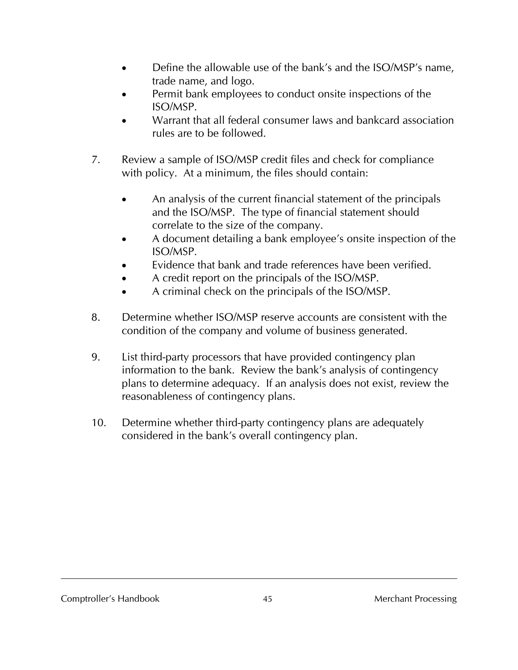- Define the allowable use of the bank's and the ISO/MSP's name, trade name, and logo.
- Permit bank employees to conduct onsite inspections of the ISO/MSP.
- Warrant that all federal consumer laws and bankcard association rules are to be followed.
- 7. Review a sample of ISO/MSP credit files and check for compliance with policy. At a minimum, the files should contain:
	- An analysis of the current financial statement of the principals and the ISO/MSP. The type of financial statement should correlate to the size of the company.
	- A document detailing a bank employee's onsite inspection of the ISO/MSP.
	- Evidence that bank and trade references have been verified.
	- A credit report on the principals of the ISO/MSP.
	- A criminal check on the principals of the ISO/MSP.
- 8. Determine whether ISO/MSP reserve accounts are consistent with the condition of the company and volume of business generated.
- 9. List third-party processors that have provided contingency plan information to the bank. Review the bank's analysis of contingency plans to determine adequacy. If an analysis does not exist, review the reasonableness of contingency plans.
- 10. Determine whether third-party contingency plans are adequately considered in the bank's overall contingency plan.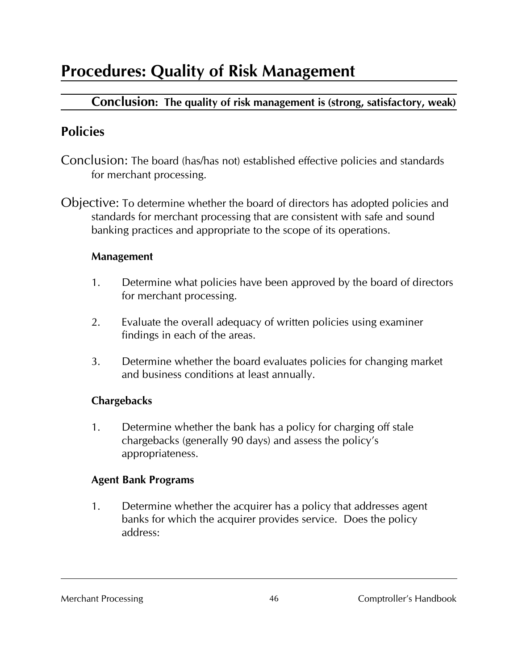# **Procedures: Quality of Risk Management**

# **Conclusion: The quality of risk management is (strong, satisfactory, weak)**

# **Policies**

- Conclusion: The board (has/has not) established effective policies and standards for merchant processing.
- Objective: To determine whether the board of directors has adopted policies and standards for merchant processing that are consistent with safe and sound banking practices and appropriate to the scope of its operations.

#### **Management**

- 1. Determine what policies have been approved by the board of directors for merchant processing.
- 2. Evaluate the overall adequacy of written policies using examiner findings in each of the areas.
- 3. Determine whether the board evaluates policies for changing market and business conditions at least annually.

### **Chargebacks**

1. Determine whether the bank has a policy for charging off stale chargebacks (generally 90 days) and assess the policy's appropriateness.

#### **Agent Bank Programs**

1. Determine whether the acquirer has a policy that addresses agent banks for which the acquirer provides service. Does the policy address: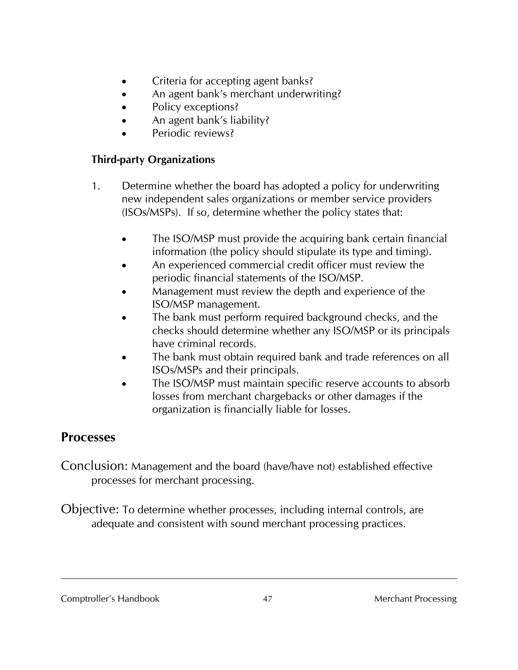- Criteria for accepting agent banks?
- An agent bank's merchant underwriting?
- Policy exceptions?
- An agent bank's liability?
- Periodic reviews?

### **Third-party Organizations**

- 1. Determine whether the board has adopted a policy for underwriting new independent sales organizations or member service providers (ISOs/MSPs). If so, determine whether the policy states that:
	- The ISO/MSP must provide the acquiring bank certain financial information (the policy should stipulate its type and timing).
	- An experienced commercial credit officer must review the periodic financial statements of the ISO/MSP.
	- Management must review the depth and experience of the ISO/MSP management.
	- The bank must perform required background checks, and the checks should determine whether any ISO/MSP or its principals have criminal records.
	- The bank must obtain required bank and trade references on all ISOs/MSPs and their principals.
	- The ISO/MSP must maintain specific reserve accounts to absorb losses from merchant chargebacks or other damages if the organization is financially liable for losses.

# **Processes**

Conclusion: Management and the board (have/have not) established effective processes for merchant processing.

Objective: To determine whether processes, including internal controls, are adequate and consistent with sound merchant processing practices.

Comptroller's Handbook  $\frac{47}{47}$  Alternative Merchant Processing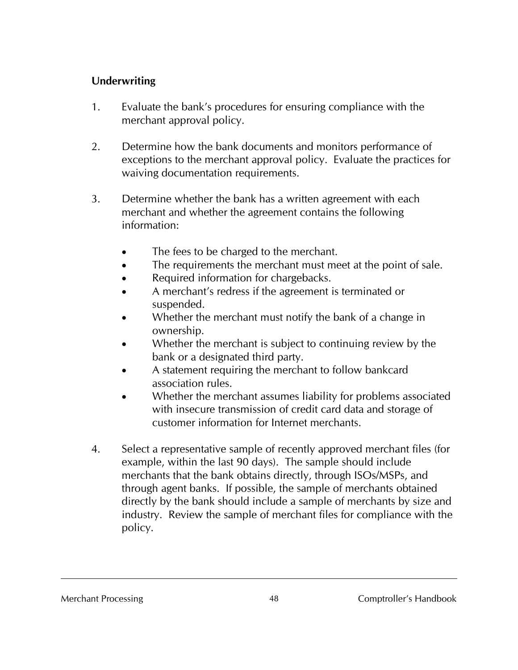#### **Underwriting**

- 1. Evaluate the bank's procedures for ensuring compliance with the merchant approval policy.
- 2. Determine how the bank documents and monitors performance of exceptions to the merchant approval policy. Evaluate the practices for waiving documentation requirements.
- 3. Determine whether the bank has a written agreement with each merchant and whether the agreement contains the following information:
	- The fees to be charged to the merchant.
	- The requirements the merchant must meet at the point of sale.
	- Required information for chargebacks.
	- A merchant's redress if the agreement is terminated or suspended.
	- Whether the merchant must notify the bank of a change in ownership.
	- Whether the merchant is subject to continuing review by the bank or a designated third party.
	- A statement requiring the merchant to follow bankcard association rules.
	- Whether the merchant assumes liability for problems associated with insecure transmission of credit card data and storage of customer information for Internet merchants.
- 4. Select a representative sample of recently approved merchant files (for example, within the last 90 days). The sample should include merchants that the bank obtains directly, through ISOs/MSPs, and through agent banks. If possible, the sample of merchants obtained directly by the bank should include a sample of merchants by size and industry. Review the sample of merchant files for compliance with the policy.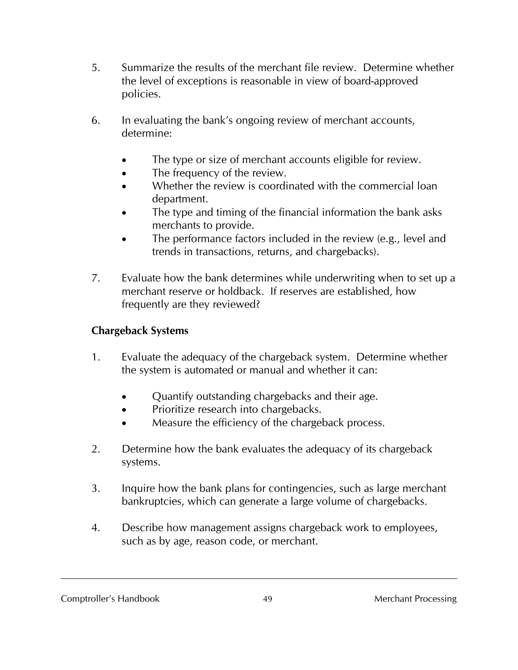- 5. Summarize the results of the merchant file review. Determine whether the level of exceptions is reasonable in view of board-approved policies.
- 6. In evaluating the bank's ongoing review of merchant accounts, determine:
	- The type or size of merchant accounts eligible for review.
	- The frequency of the review.
	- Whether the review is coordinated with the commercial loan department.
	- The type and timing of the financial information the bank asks merchants to provide.
	- The performance factors included in the review (e.g., level and trends in transactions, returns, and chargebacks).
- 7. Evaluate how the bank determines while underwriting when to set up a merchant reserve or holdback. If reserves are established, how frequently are they reviewed?

#### **Chargeback Systems**

- 1. Evaluate the adequacy of the chargeback system. Determine whether the system is automated or manual and whether it can:
	- Ouantify outstanding chargebacks and their age.
	- Prioritize research into chargebacks.
	- Measure the efficiency of the chargeback process.
- 2. Determine how the bank evaluates the adequacy of its chargeback systems.
- 3. Inquire how the bank plans for contingencies, such as large merchant bankruptcies, which can generate a large volume of chargebacks.
- 4. Describe how management assigns chargeback work to employees, such as by age, reason code, or merchant.

#### Comptroller's Handbook 49 Merchant Processing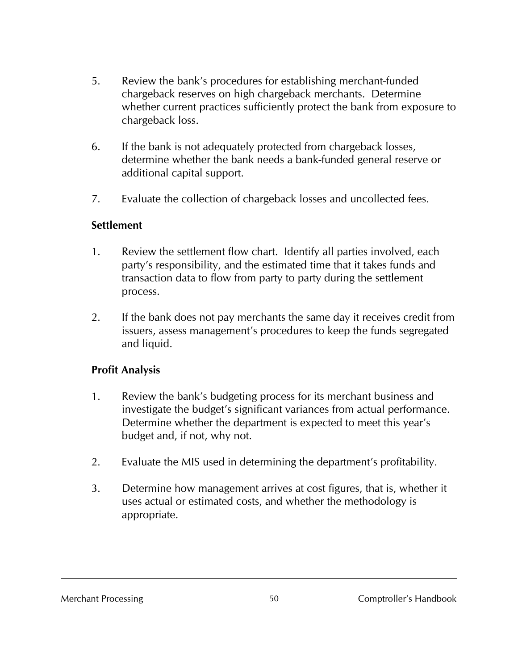- 5. Review the bank's procedures for establishing merchant-funded chargeback reserves on high chargeback merchants. Determine whether current practices sufficiently protect the bank from exposure to chargeback loss.
- 6. If the bank is not adequately protected from chargeback losses, determine whether the bank needs a bank-funded general reserve or additional capital support.
- 7. Evaluate the collection of chargeback losses and uncollected fees.

#### **Settlement**

- 1. Review the settlement flow chart. Identify all parties involved, each party's responsibility, and the estimated time that it takes funds and transaction data to flow from party to party during the settlement process.
- 2. If the bank does not pay merchants the same day it receives credit from issuers, assess management's procedures to keep the funds segregated and liquid.

#### **Profit Analysis**

- 1. Review the bank's budgeting process for its merchant business and investigate the budget's significant variances from actual performance. Determine whether the department is expected to meet this year's budget and, if not, why not.
- 2. Evaluate the MIS used in determining the department's profitability.
- 3. Determine how management arrives at cost figures, that is, whether it uses actual or estimated costs, and whether the methodology is appropriate.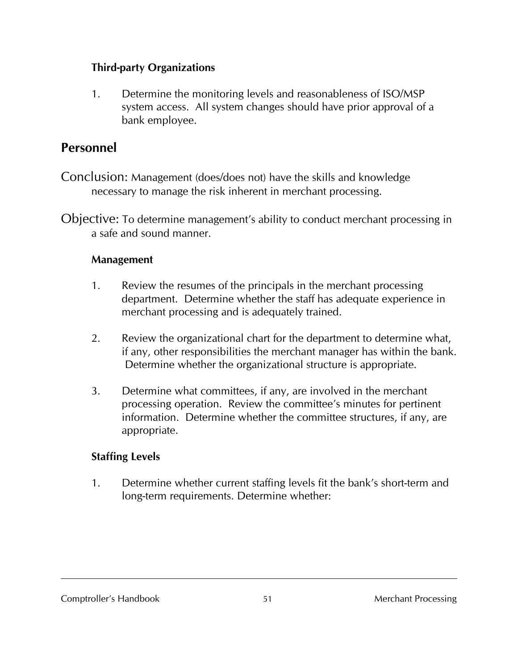#### **Third-party Organizations**

1. Determine the monitoring levels and reasonableness of ISO/MSP system access. All system changes should have prior approval of a bank employee.

# **Personnel**

- Conclusion: Management (does/does not) have the skills and knowledge necessary to manage the risk inherent in merchant processing.
- Objective: To determine management's ability to conduct merchant processing in a safe and sound manner.

#### **Management**

- 1. Review the resumes of the principals in the merchant processing department. Determine whether the staff has adequate experience in merchant processing and is adequately trained.
- 2. Review the organizational chart for the department to determine what, if any, other responsibilities the merchant manager has within the bank. Determine whether the organizational structure is appropriate.
- 3. Determine what committees, if any, are involved in the merchant processing operation. Review the committee's minutes for pertinent information. Determine whether the committee structures, if any, are appropriate.

### **Staffing Levels**

1. Determine whether current staffing levels fit the bank's short-term and long-term requirements. Determine whether:

Comptroller's Handbook 51 51 Merchant Processing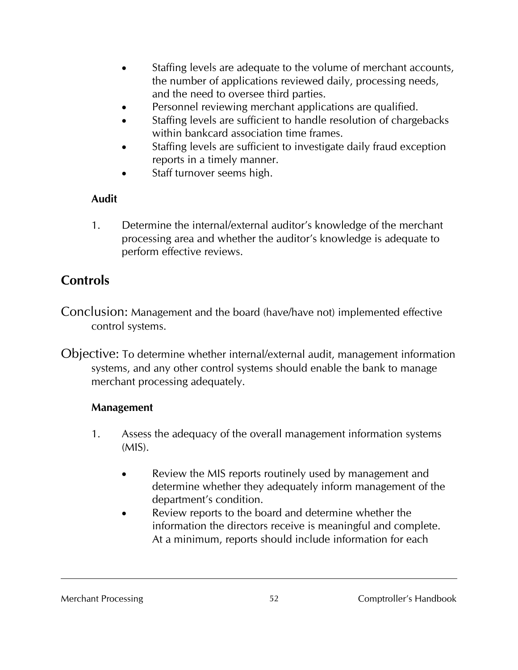- Staffing levels are adequate to the volume of merchant accounts, the number of applications reviewed daily, processing needs, and the need to oversee third parties.
- Personnel reviewing merchant applications are qualified.
- Staffing levels are sufficient to handle resolution of chargebacks within bankcard association time frames.
- Staffing levels are sufficient to investigate daily fraud exception reports in a timely manner.
- Staff turnover seems high.

#### **Audit**

1. Determine the internal/external auditor's knowledge of the merchant processing area and whether the auditor's knowledge is adequate to perform effective reviews.

# **Controls**

Conclusion: Management and the board (have/have not) implemented effective control systems.

Objective: To determine whether internal/external audit, management information systems, and any other control systems should enable the bank to manage merchant processing adequately.

#### **Management**

- 1. Assess the adequacy of the overall management information systems  $(MIS)$ .
	- Review the MIS reports routinely used by management and determine whether they adequately inform management of the department's condition.
	- Review reports to the board and determine whether the information the directors receive is meaningful and complete. At a minimum, reports should include information for each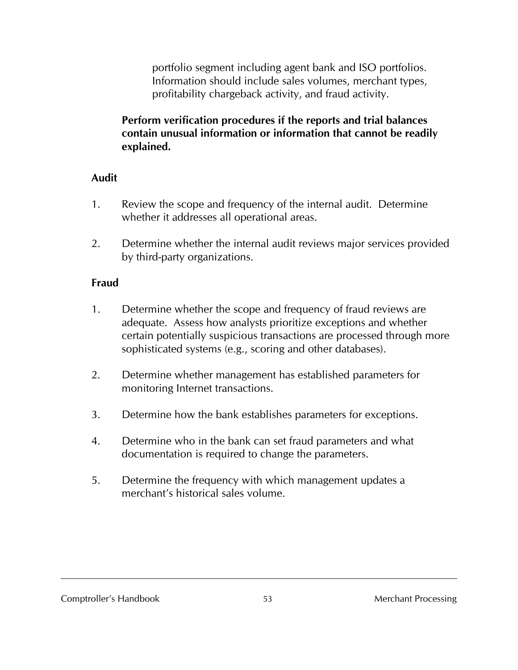portfolio segment including agent bank and ISO portfolios. Information should include sales volumes, merchant types, profitability chargeback activity, and fraud activity.

#### **Perform verification procedures if the reports and trial balances contain unusual information or information that cannot be readily explained.**

#### **Audit**

- 1. Review the scope and frequency of the internal audit. Determine whether it addresses all operational areas.
- 2. Determine whether the internal audit reviews major services provided by third-party organizations.

#### **Fraud**

- 1. Determine whether the scope and frequency of fraud reviews are adequate. Assess how analysts prioritize exceptions and whether certain potentially suspicious transactions are processed through more sophisticated systems (e.g., scoring and other databases).
- 2. Determine whether management has established parameters for monitoring Internet transactions.
- 3. Determine how the bank establishes parameters for exceptions.
- 4. Determine who in the bank can set fraud parameters and what documentation is required to change the parameters.
- 5. Determine the frequency with which management updates a merchant's historical sales volume.

Comptroller's Handbook 53 Merchant Processing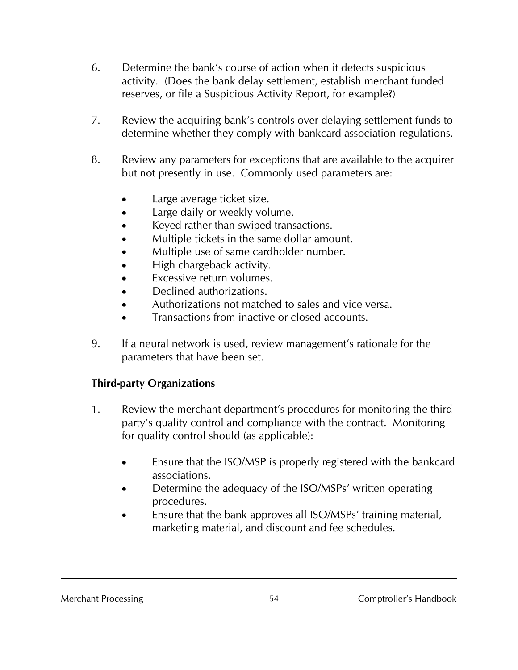- 6. Determine the bank's course of action when it detects suspicious activity. (Does the bank delay settlement, establish merchant funded reserves, or file a Suspicious Activity Report, for example?)
- 7. Review the acquiring bank's controls over delaying settlement funds to determine whether they comply with bankcard association regulations.
- 8. Review any parameters for exceptions that are available to the acquirer but not presently in use. Commonly used parameters are:
	- Large average ticket size.
	- Large daily or weekly volume.
	- Keyed rather than swiped transactions.
	- Multiple tickets in the same dollar amount.
	- Multiple use of same cardholder number.
	- High chargeback activity.
	- Excessive return volumes.
	- Declined authorizations.
	- Authorizations not matched to sales and vice versa.
	- Transactions from inactive or closed accounts.
- 9. If a neural network is used, review management's rationale for the parameters that have been set.

# **Third-party Organizations**

- 1. Review the merchant department's procedures for monitoring the third party's quality control and compliance with the contract. Monitoring for quality control should (as applicable):
	- Ensure that the ISO/MSP is properly registered with the bankcard associations.
	- Determine the adequacy of the ISO/MSPs' written operating procedures.
	- Ensure that the bank approves all ISO/MSPs' training material, marketing material, and discount and fee schedules.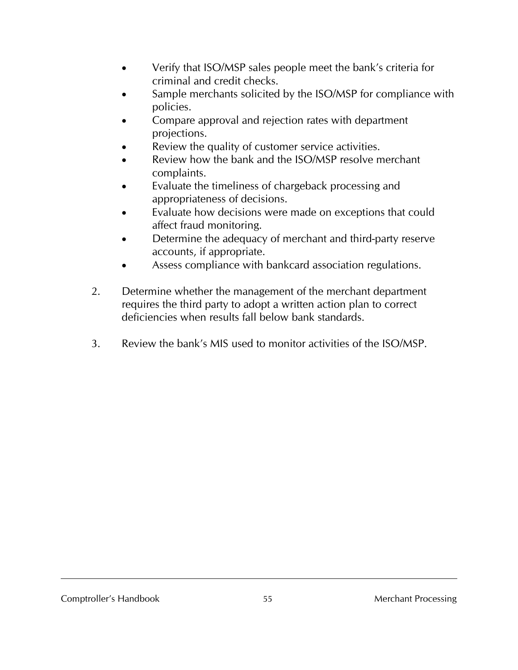- Verify that ISO/MSP sales people meet the bank's criteria for criminal and credit checks.
- Sample merchants solicited by the ISO/MSP for compliance with policies.
- Compare approval and rejection rates with department projections.
- Review the quality of customer service activities.
- Review how the bank and the ISO/MSP resolve merchant complaints.
- Evaluate the timeliness of chargeback processing and appropriateness of decisions.
- Evaluate how decisions were made on exceptions that could affect fraud monitoring.
- Determine the adequacy of merchant and third-party reserve accounts, if appropriate.
- Assess compliance with bankcard association regulations.
- 2. Determine whether the management of the merchant department requires the third party to adopt a written action plan to correct deficiencies when results fall below bank standards.
- 3. Review the bank's MIS used to monitor activities of the ISO/MSP.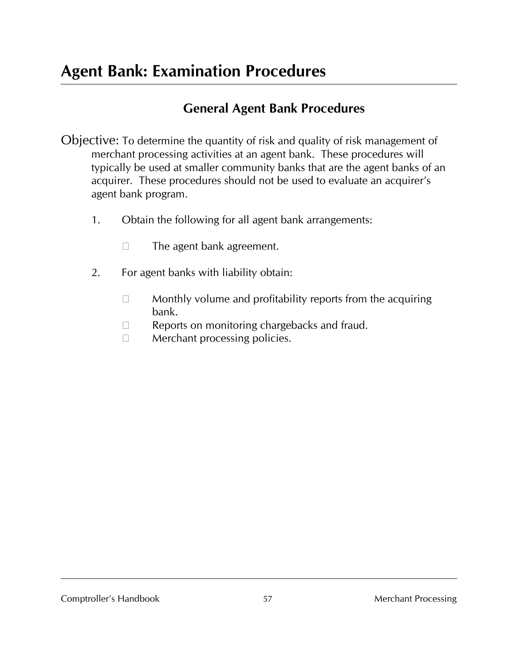# **General Agent Bank Procedures**

- Objective: To determine the quantity of risk and quality of risk management of merchant processing activities at an agent bank. These procedures will typically be used at smaller community banks that are the agent banks of an acquirer. These procedures should not be used to evaluate an acquirer's agent bank program.
	- 1. Obtain the following for all agent bank arrangements:
		- $\Box$  The agent bank agreement.
	- 2. For agent banks with liability obtain:
		- $\Box$  Monthly volume and profitability reports from the acquiring bank.
		- $\Box$  Reports on monitoring chargebacks and fraud.
		- $\Box$  Merchant processing policies.

Comptroller's Handbook 57 57 Merchant Processing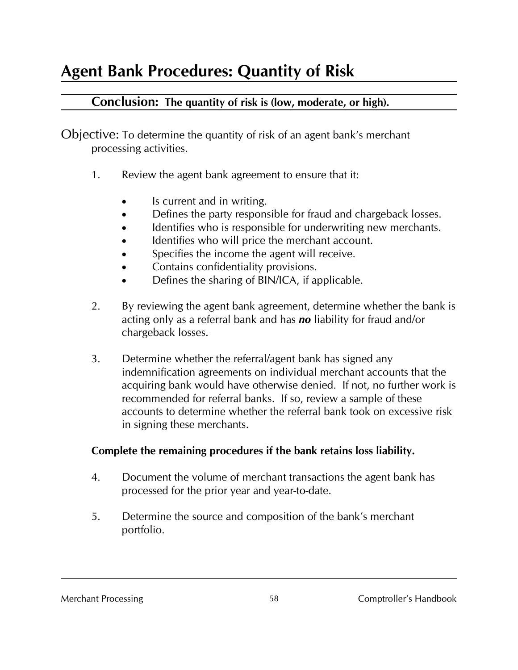# **Conclusion: The quantity of risk is (low, moderate, or high).**

Objective: To determine the quantity of risk of an agent bank's merchant processing activities.

- 1. Review the agent bank agreement to ensure that it:
	- Is current and in writing.
	- Defines the party responsible for fraud and chargeback losses.
	- Identifies who is responsible for underwriting new merchants.
	- Identifies who will price the merchant account.
	- Specifies the income the agent will receive.
	- Contains confidentiality provisions.
	- Defines the sharing of BIN/ICA, if applicable.
- 2. By reviewing the agent bank agreement, determine whether the bank is acting only as a referral bank and has *no* liability for fraud and/or chargeback losses.
- 3. Determine whether the referral/agent bank has signed any indemnification agreements on individual merchant accounts that the acquiring bank would have otherwise denied. If not, no further work is recommended for referral banks. If so, review a sample of these accounts to determine whether the referral bank took on excessive risk in signing these merchants.

# **Complete the remaining procedures if the bank retains loss liability.**

- 4. Document the volume of merchant transactions the agent bank has processed for the prior year and year-to-date.
- 5. Determine the source and composition of the bank's merchant portfolio.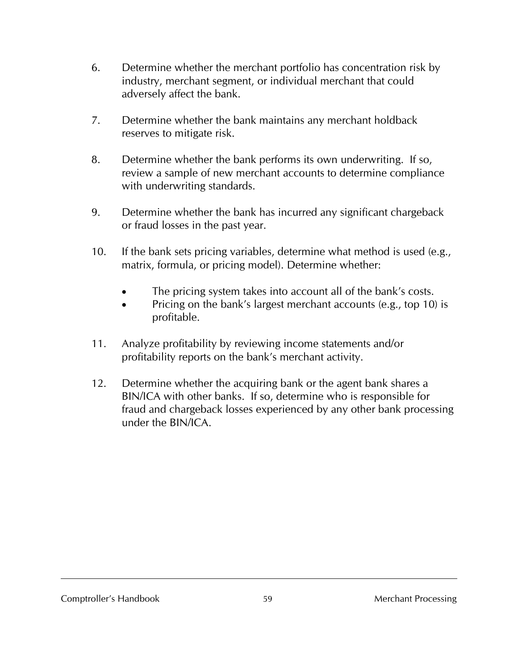- 6. Determine whether the merchant portfolio has concentration risk by industry, merchant segment, or individual merchant that could adversely affect the bank.
- 7. Determine whether the bank maintains any merchant holdback reserves to mitigate risk.
- 8. Determine whether the bank performs its own underwriting. If so, review a sample of new merchant accounts to determine compliance with underwriting standards.
- 9. Determine whether the bank has incurred any significant chargeback or fraud losses in the past year.
- 10. If the bank sets pricing variables, determine what method is used (e.g., matrix, formula, or pricing model). Determine whether:
	- The pricing system takes into account all of the bank's costs.
	- Pricing on the bank's largest merchant accounts (e.g., top 10) is profitable.
- 11. Analyze profitability by reviewing income statements and/or profitability reports on the bank's merchant activity.
- 12. Determine whether the acquiring bank or the agent bank shares a BIN/ICA with other banks. If so, determine who is responsible for fraud and chargeback losses experienced by any other bank processing under the BIN/ICA.

#### Comptroller's Handbook 59 Merchant Processing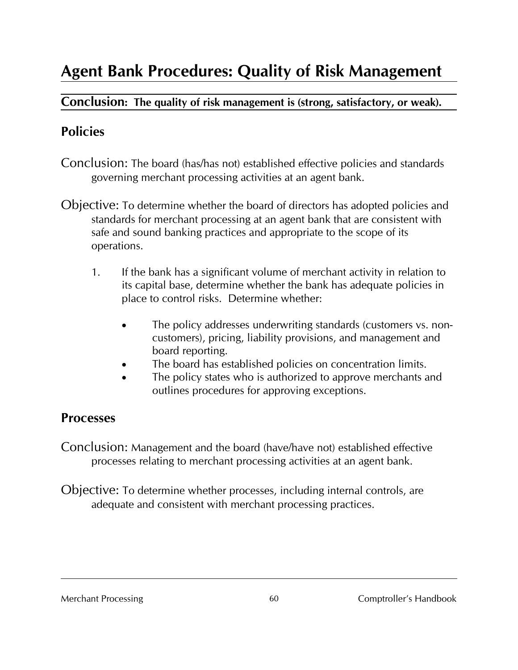# **Agent Bank Procedures: Quality of Risk Management**

## **Conclusion: The quality of risk management is (strong, satisfactory, or weak).**

# **Policies**

- Conclusion: The board (has/has not) established effective policies and standards governing merchant processing activities at an agent bank.
- Objective: To determine whether the board of directors has adopted policies and standards for merchant processing at an agent bank that are consistent with safe and sound banking practices and appropriate to the scope of its operations.
	- 1. If the bank has a significant volume of merchant activity in relation to its capital base, determine whether the bank has adequate policies in place to control risks. Determine whether:
		- The policy addresses underwriting standards (customers vs. noncustomers), pricing, liability provisions, and management and board reporting.
		- The board has established policies on concentration limits.
		- The policy states who is authorized to approve merchants and outlines procedures for approving exceptions.

# **Processes**

Conclusion: Management and the board (have/have not) established effective processes relating to merchant processing activities at an agent bank.

Objective: To determine whether processes, including internal controls, are adequate and consistent with merchant processing practices.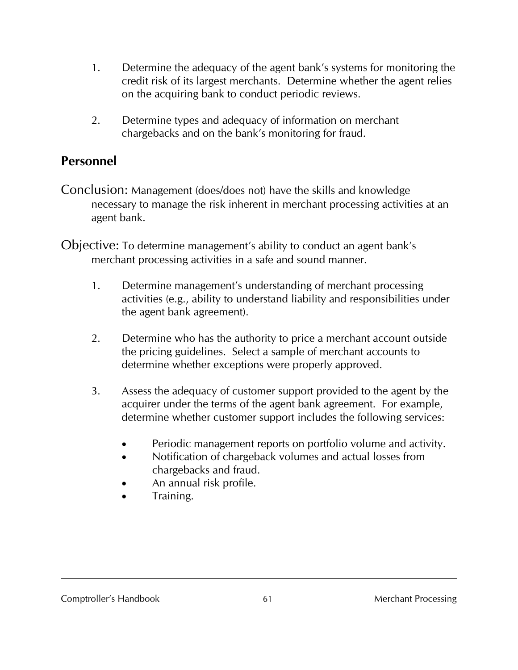- 1. Determine the adequacy of the agent bank's systems for monitoring the credit risk of its largest merchants. Determine whether the agent relies on the acquiring bank to conduct periodic reviews.
- 2. Determine types and adequacy of information on merchant chargebacks and on the bank's monitoring for fraud.

# **Personnel**

- Conclusion: Management (does/does not) have the skills and knowledge necessary to manage the risk inherent in merchant processing activities at an agent bank.
- Objective: To determine management's ability to conduct an agent bank's merchant processing activities in a safe and sound manner.
	- 1. Determine management's understanding of merchant processing activities (e.g., ability to understand liability and responsibilities under the agent bank agreement).
	- 2. Determine who has the authority to price a merchant account outside the pricing guidelines. Select a sample of merchant accounts to determine whether exceptions were properly approved.
	- 3. Assess the adequacy of customer support provided to the agent by the acquirer under the terms of the agent bank agreement. For example, determine whether customer support includes the following services:
		- Periodic management reports on portfolio volume and activity.
		- Notification of chargeback volumes and actual losses from chargebacks and fraud.
		- An annual risk profile.
		- Training.

#### Comptroller's Handbook 61 61 Merchant Processing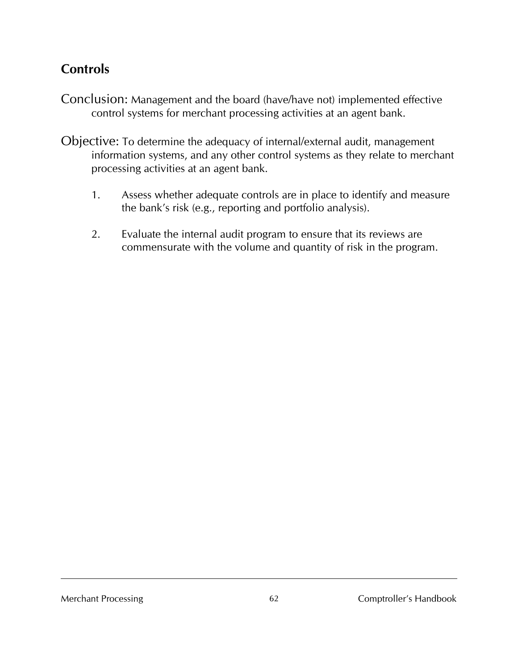# **Controls**

- Conclusion: Management and the board (have/have not) implemented effective control systems for merchant processing activities at an agent bank.
- Objective: To determine the adequacy of internal/external audit, management information systems, and any other control systems as they relate to merchant processing activities at an agent bank.
	- 1. Assess whether adequate controls are in place to identify and measure the bank's risk (e.g., reporting and portfolio analysis).
	- 2. Evaluate the internal audit program to ensure that its reviews are commensurate with the volume and quantity of risk in the program.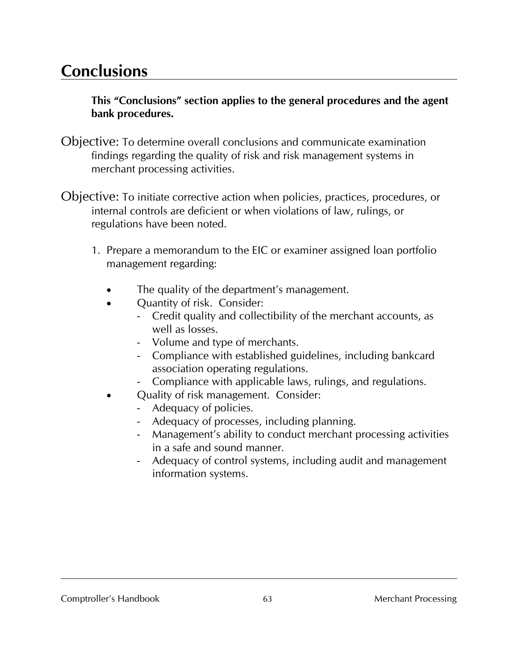# **Conclusions**

**This "Conclusions" section applies to the general procedures and the agent bank procedures.**

- Objective: To determine overall conclusions and communicate examination findings regarding the quality of risk and risk management systems in merchant processing activities.
- Objective: To initiate corrective action when policies, practices, procedures, or internal controls are deficient or when violations of law, rulings, or regulations have been noted.
	- 1. Prepare a memorandum to the EIC or examiner assigned loan portfolio management regarding:
		- The quality of the department's management.
		- Quantity of risk. Consider:
			- Credit quality and collectibility of the merchant accounts, as well as losses.
			- Volume and type of merchants.
			- Compliance with established guidelines, including bankcard association operating regulations.
			- Compliance with applicable laws, rulings, and regulations.
		- Quality of risk management. Consider:
			- Adequacy of policies.
			- Adequacy of processes, including planning.
			- Management's ability to conduct merchant processing activities in a safe and sound manner.
			- Adequacy of control systems, including audit and management information systems.

#### Comptroller's Handbook 63 63 Merchant Processing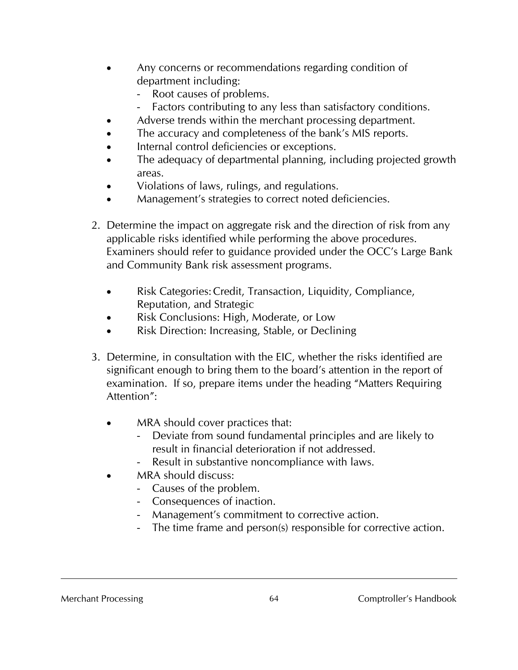- Any concerns or recommendations regarding condition of department including:
	- Root causes of problems.
	- Factors contributing to any less than satisfactory conditions.
	- Adverse trends within the merchant processing department.
- The accuracy and completeness of the bank's MIS reports.
- Internal control deficiencies or exceptions.
- The adequacy of departmental planning, including projected growth areas.
- Violations of laws, rulings, and regulations.
- Management's strategies to correct noted deficiencies.
- 2. Determine the impact on aggregate risk and the direction of risk from any applicable risks identified while performing the above procedures. Examiners should refer to guidance provided under the OCC's Large Bank and Community Bank risk assessment programs.
	- Risk Categories: Credit, Transaction, Liquidity, Compliance, Reputation, and Strategic
	- Risk Conclusions: High, Moderate, or Low
	- Risk Direction: Increasing, Stable, or Declining
- 3. Determine, in consultation with the EIC, whether the risks identified are significant enough to bring them to the board's attention in the report of examination. If so, prepare items under the heading "Matters Requiring Attention":
	- MRA should cover practices that:
		- Deviate from sound fundamental principles and are likely to result in financial deterioration if not addressed.
		- Result in substantive noncompliance with laws.
	- MRA should discuss:
		- Causes of the problem.
		- Consequences of inaction.
		- Management's commitment to corrective action.
		- The time frame and person(s) responsible for corrective action.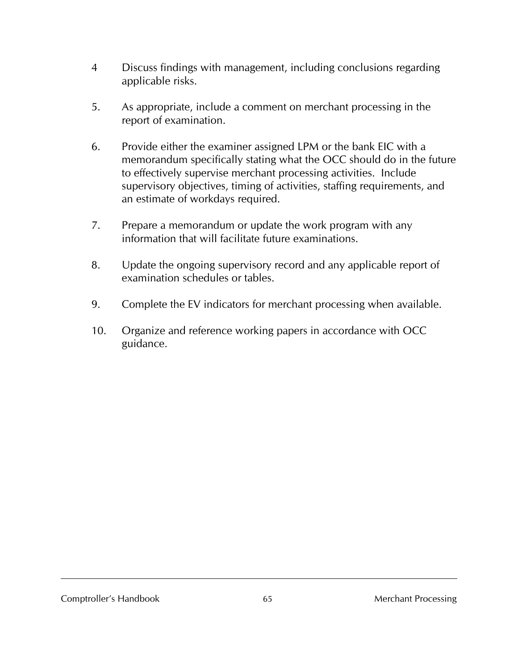- 4 Discuss findings with management, including conclusions regarding applicable risks.
- 5. As appropriate, include a comment on merchant processing in the report of examination.
- 6. Provide either the examiner assigned LPM or the bank EIC with a memorandum specifically stating what the OCC should do in the future to effectively supervise merchant processing activities. Include supervisory objectives, timing of activities, staffing requirements, and an estimate of workdays required.
- 7. Prepare a memorandum or update the work program with any information that will facilitate future examinations.
- 8. Update the ongoing supervisory record and any applicable report of examination schedules or tables.
- 9. Complete the EV indicators for merchant processing when available.
- 10. Organize and reference working papers in accordance with OCC guidance.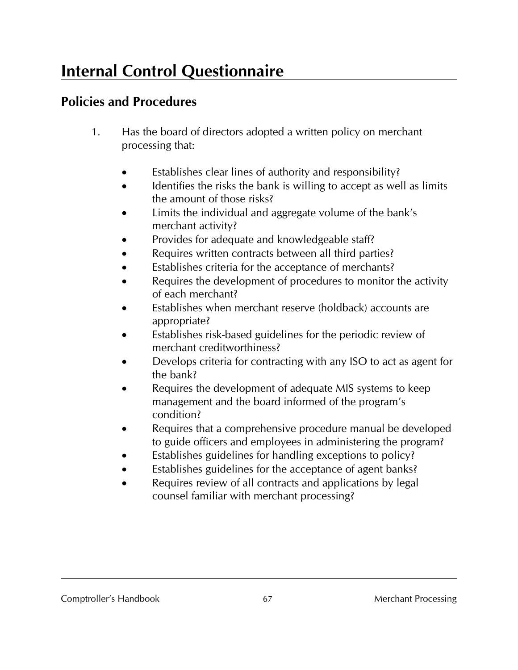# **Internal Control Questionnaire**

# **Policies and Procedures**

- 1. Has the board of directors adopted a written policy on merchant processing that:
	- Establishes clear lines of authority and responsibility?
	- Identifies the risks the bank is willing to accept as well as limits the amount of those risks?
	- Limits the individual and aggregate volume of the bank's merchant activity?
	- Provides for adequate and knowledgeable staff?
	- Requires written contracts between all third parties?
	- Establishes criteria for the acceptance of merchants?
	- Requires the development of procedures to monitor the activity of each merchant?
	- Establishes when merchant reserve (holdback) accounts are appropriate?
	- Establishes risk-based guidelines for the periodic review of merchant creditworthiness?
	- Develops criteria for contracting with any ISO to act as agent for the bank?
	- Requires the development of adequate MIS systems to keep management and the board informed of the program's condition?
	- Requires that a comprehensive procedure manual be developed to guide officers and employees in administering the program?
	- Establishes guidelines for handling exceptions to policy?
	- Establishes guidelines for the acceptance of agent banks?
	- Requires review of all contracts and applications by legal counsel familiar with merchant processing?

#### Comptroller's Handbook 67 67 Merchant Processing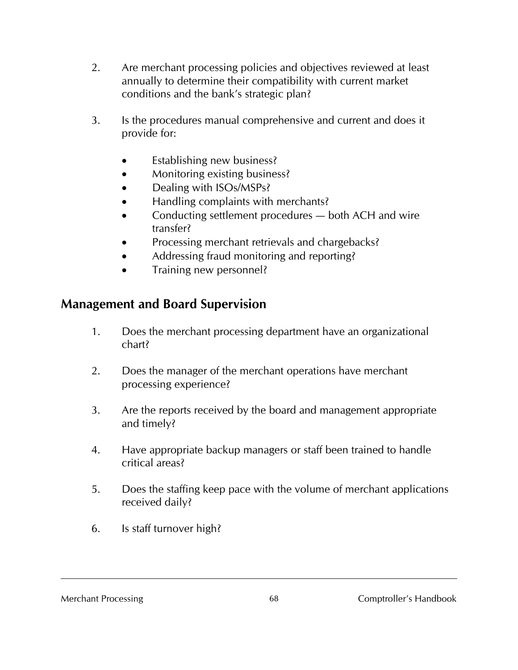- 2. Are merchant processing policies and objectives reviewed at least annually to determine their compatibility with current market conditions and the bank's strategic plan?
- 3. Is the procedures manual comprehensive and current and does it provide for:
	- Establishing new business?
	- Monitoring existing business?
	- Dealing with ISOs/MSPs?
	- Handling complaints with merchants?
	- Conducting settlement procedures both ACH and wire transfer?
	- Processing merchant retrievals and chargebacks?
	- Addressing fraud monitoring and reporting?
	- Training new personnel?

# **Management and Board Supervision**

- 1. Does the merchant processing department have an organizational chart?
- 2. Does the manager of the merchant operations have merchant processing experience?
- 3. Are the reports received by the board and management appropriate and timely?
- 4. Have appropriate backup managers or staff been trained to handle critical areas?
- 5. Does the staffing keep pace with the volume of merchant applications received daily?
- 6. Is staff turnover high?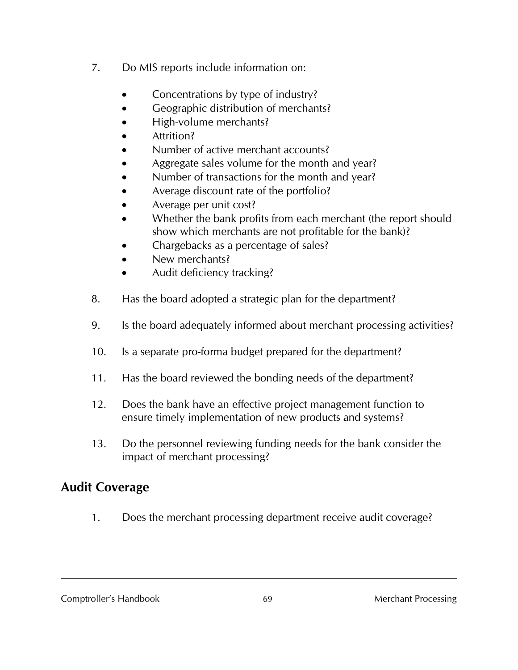- 7. Do MIS reports include information on:
	- Concentrations by type of industry?
	- Geographic distribution of merchants?
	- High-volume merchants?
	- Attrition?
	- Number of active merchant accounts?
	- Aggregate sales volume for the month and year?
	- Number of transactions for the month and year?
	- Average discount rate of the portfolio?
	- Average per unit cost?
	- Whether the bank profits from each merchant (the report should show which merchants are not profitable for the bank)?
	- Chargebacks as a percentage of sales?
	- New merchants?
	- Audit deficiency tracking?
- 8. Has the board adopted a strategic plan for the department?
- 9. Is the board adequately informed about merchant processing activities?
- 10. Is a separate pro-forma budget prepared for the department?
- 11. Has the board reviewed the bonding needs of the department?
- 12. Does the bank have an effective project management function to ensure timely implementation of new products and systems?
- 13. Do the personnel reviewing funding needs for the bank consider the impact of merchant processing?

# **Audit Coverage**

1. Does the merchant processing department receive audit coverage?

Comptroller's Handbook 69 Merchant Processing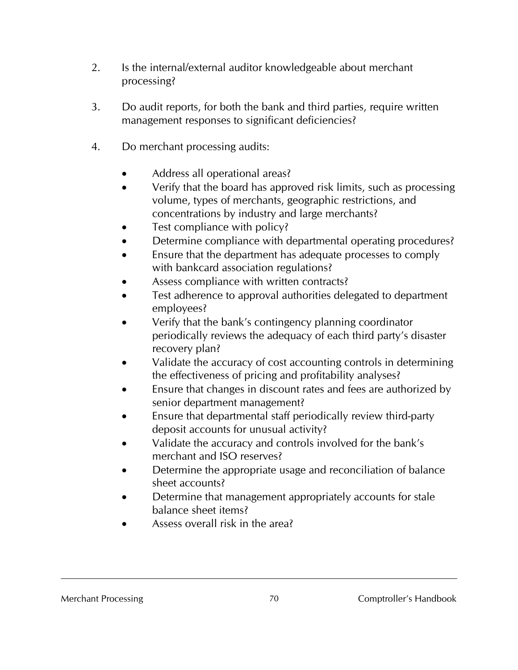- 2. Is the internal/external auditor knowledgeable about merchant processing?
- 3. Do audit reports, for both the bank and third parties, require written management responses to significant deficiencies?
- 4. Do merchant processing audits:
	- Address all operational areas?
	- Verify that the board has approved risk limits, such as processing volume, types of merchants, geographic restrictions, and concentrations by industry and large merchants?
	- Test compliance with policy?
	- Determine compliance with departmental operating procedures?
	- Ensure that the department has adequate processes to comply with bankcard association regulations?
	- Assess compliance with written contracts?
	- Test adherence to approval authorities delegated to department employees?
	- Verify that the bank's contingency planning coordinator periodically reviews the adequacy of each third party's disaster recovery plan?
	- Validate the accuracy of cost accounting controls in determining the effectiveness of pricing and profitability analyses?
	- Ensure that changes in discount rates and fees are authorized by senior department management?
	- Ensure that departmental staff periodically review third-party deposit accounts for unusual activity?
	- Validate the accuracy and controls involved for the bank's merchant and ISO reserves?
	- Determine the appropriate usage and reconciliation of balance sheet accounts?
	- Determine that management appropriately accounts for stale balance sheet items?
	- Assess overall risk in the area?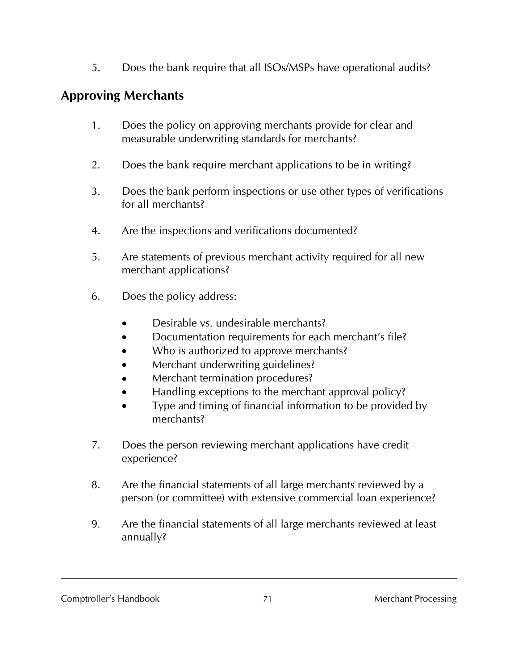5. Does the bank require that all ISOs/MSPs have operational audits?

# **Approving Merchants**

- 1. Does the policy on approving merchants provide for clear and measurable underwriting standards for merchants?
- 2. Does the bank require merchant applications to be in writing?
- 3. Does the bank perform inspections or use other types of verifications for all merchants?
- 4. Are the inspections and verifications documented?
- 5. Are statements of previous merchant activity required for all new merchant applications?
- 6. Does the policy address:
	- Desirable vs. undesirable merchants?
	- Documentation requirements for each merchant's file?
	- Who is authorized to approve merchants?
	- Merchant underwriting guidelines?
	- Merchant termination procedures?
	- Handling exceptions to the merchant approval policy?
	- Type and timing of financial information to be provided by merchants?
- 7. Does the person reviewing merchant applications have credit experience?
- 8. Are the financial statements of all large merchants reviewed by a person (or committee) with extensive commercial loan experience?
- 9. Are the financial statements of all large merchants reviewed at least annually?

Comptroller's Handbook 21 The Merchant Processing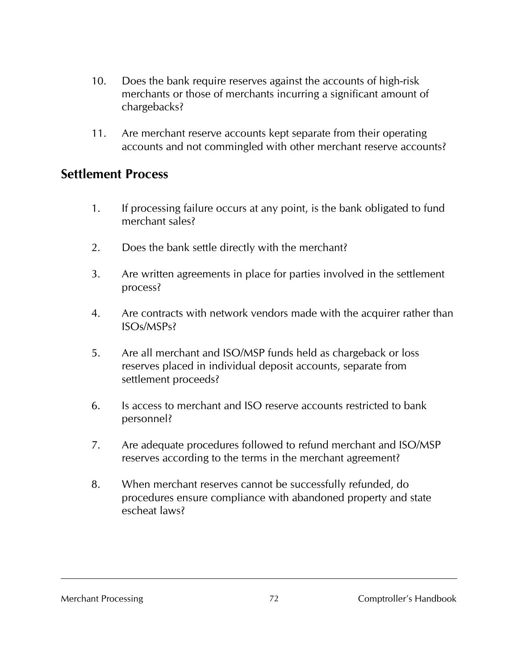- 10. Does the bank require reserves against the accounts of high-risk merchants or those of merchants incurring a significant amount of chargebacks?
- 11. Are merchant reserve accounts kept separate from their operating accounts and not commingled with other merchant reserve accounts?

#### **Settlement Process**

- 1. If processing failure occurs at any point, is the bank obligated to fund merchant sales?
- 2. Does the bank settle directly with the merchant?
- 3. Are written agreements in place for parties involved in the settlement process?
- 4. Are contracts with network vendors made with the acquirer rather than ISOs/MSPs?
- 5. Are all merchant and ISO/MSP funds held as chargeback or loss reserves placed in individual deposit accounts, separate from settlement proceeds?
- 6. Is access to merchant and ISO reserve accounts restricted to bank personnel?
- 7. Are adequate procedures followed to refund merchant and ISO/MSP reserves according to the terms in the merchant agreement?
- 8. When merchant reserves cannot be successfully refunded, do procedures ensure compliance with abandoned property and state escheat laws?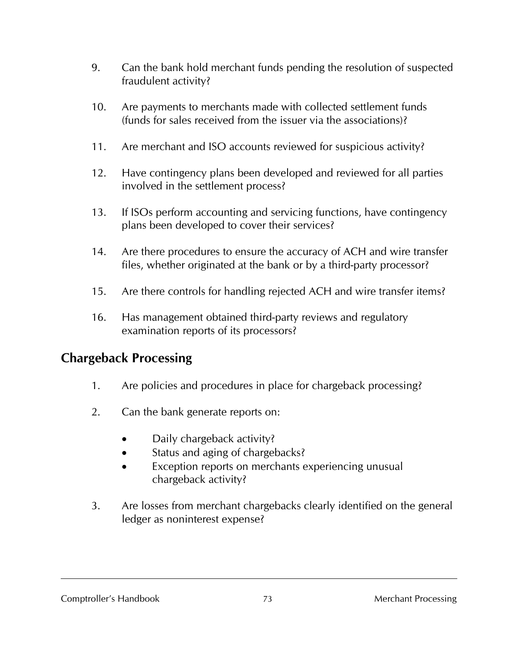- 9. Can the bank hold merchant funds pending the resolution of suspected fraudulent activity?
- 10. Are payments to merchants made with collected settlement funds (funds for sales received from the issuer via the associations)?
- 11. Are merchant and ISO accounts reviewed for suspicious activity?
- 12. Have contingency plans been developed and reviewed for all parties involved in the settlement process?
- 13. If ISOs perform accounting and servicing functions, have contingency plans been developed to cover their services?
- 14. Are there procedures to ensure the accuracy of ACH and wire transfer files, whether originated at the bank or by a third-party processor?
- 15. Are there controls for handling rejected ACH and wire transfer items?
- 16. Has management obtained third-party reviews and regulatory examination reports of its processors?

# **Chargeback Processing**

- 1. Are policies and procedures in place for chargeback processing?
- 2. Can the bank generate reports on:
	- Daily chargeback activity?
	- Status and aging of chargebacks?
	- Exception reports on merchants experiencing unusual chargeback activity?
- 3. Are losses from merchant chargebacks clearly identified on the general ledger as noninterest expense?

#### Comptroller's Handbook 73 Merchant Processing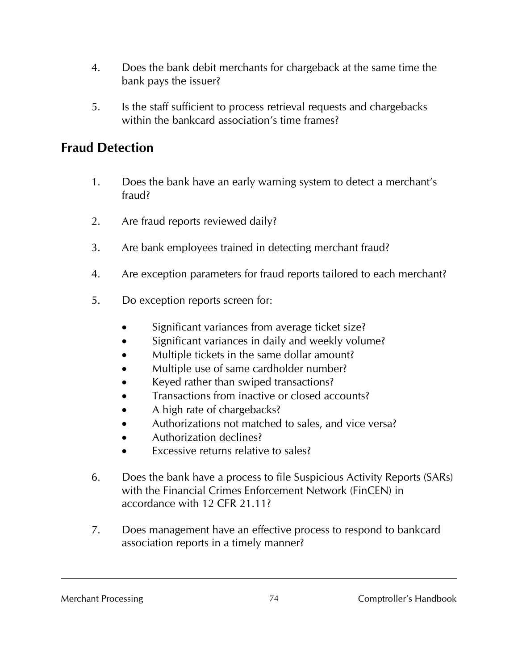- 4. Does the bank debit merchants for chargeback at the same time the bank pays the issuer?
- 5. Is the staff sufficient to process retrieval requests and chargebacks within the bankcard association's time frames?

## **Fraud Detection**

- 1. Does the bank have an early warning system to detect a merchant's fraud?
- 2. Are fraud reports reviewed daily?
- 3. Are bank employees trained in detecting merchant fraud?
- 4. Are exception parameters for fraud reports tailored to each merchant?
- 5. Do exception reports screen for:
	- Significant variances from average ticket size?
	- Significant variances in daily and weekly volume?
	- Multiple tickets in the same dollar amount?
	- Multiple use of same cardholder number?
	- Keyed rather than swiped transactions?
	- Transactions from inactive or closed accounts?
	- A high rate of chargebacks?
	- Authorizations not matched to sales, and vice versa?
	- Authorization declines?
	- Excessive returns relative to sales?
- 6. Does the bank have a process to file Suspicious Activity Reports (SARs) with the Financial Crimes Enforcement Network (FinCEN) in accordance with 12 CFR 21.11?
- 7. Does management have an effective process to respond to bankcard association reports in a timely manner?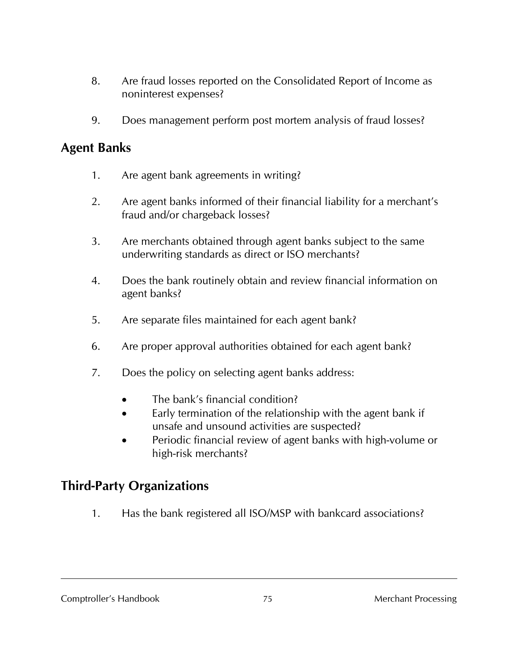- 8. Are fraud losses reported on the Consolidated Report of Income as noninterest expenses?
- 9. Does management perform post mortem analysis of fraud losses?

#### **Agent Banks**

- 1. Are agent bank agreements in writing?
- 2. Are agent banks informed of their financial liability for a merchant's fraud and/or chargeback losses?
- 3. Are merchants obtained through agent banks subject to the same underwriting standards as direct or ISO merchants?
- 4. Does the bank routinely obtain and review financial information on agent banks?
- 5. Are separate files maintained for each agent bank?
- 6. Are proper approval authorities obtained for each agent bank?
- 7. Does the policy on selecting agent banks address:
	- The bank's financial condition?
	- Early termination of the relationship with the agent bank if unsafe and unsound activities are suspected?
	- Periodic financial review of agent banks with high-volume or high-risk merchants?

### **Third-Party Organizations**

1. Has the bank registered all ISO/MSP with bankcard associations?

Comptroller's Handbook 25 The 2008 75 Merchant Processing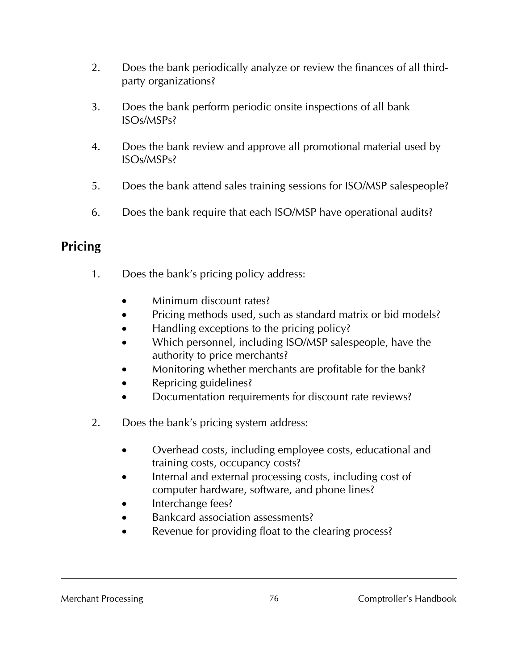- 2. Does the bank periodically analyze or review the finances of all thirdparty organizations?
- 3. Does the bank perform periodic onsite inspections of all bank ISOs/MSPs?
- 4. Does the bank review and approve all promotional material used by ISOs/MSPs?
- 5. Does the bank attend sales training sessions for ISO/MSP salespeople?
- 6. Does the bank require that each ISO/MSP have operational audits?

## **Pricing**

- 1. Does the bank's pricing policy address:
	- Minimum discount rates?
	- Pricing methods used, such as standard matrix or bid models?
	- Handling exceptions to the pricing policy?
	- Which personnel, including ISO/MSP salespeople, have the authority to price merchants?
	- Monitoring whether merchants are profitable for the bank?
	- Repricing guidelines?
	- Documentation requirements for discount rate reviews?
- 2. Does the bank's pricing system address:
	- Overhead costs, including employee costs, educational and training costs, occupancy costs?
	- Internal and external processing costs, including cost of computer hardware, software, and phone lines?
	- Interchange fees?
	- Bankcard association assessments?
	- Revenue for providing float to the clearing process?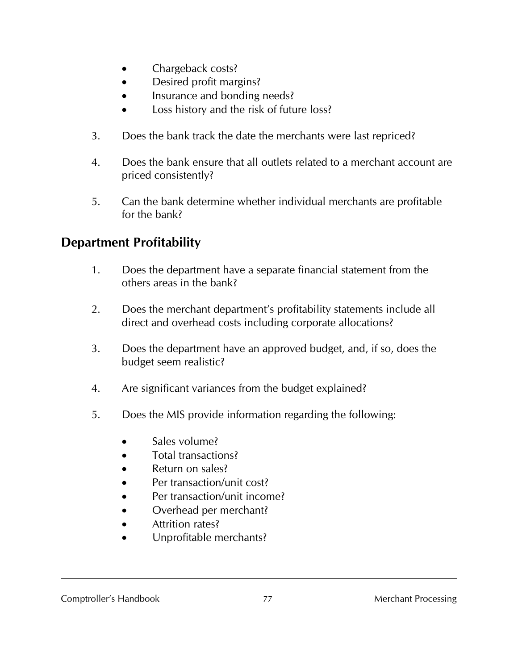- Chargeback costs?
- Desired profit margins?
- Insurance and bonding needs?
- Loss history and the risk of future loss?
- 3. Does the bank track the date the merchants were last repriced?
- 4. Does the bank ensure that all outlets related to a merchant account are priced consistently?
- 5. Can the bank determine whether individual merchants are profitable for the bank?

# **Department Profitability**

- 1. Does the department have a separate financial statement from the others areas in the bank?
- 2. Does the merchant department's profitability statements include all direct and overhead costs including corporate allocations?
- 3. Does the department have an approved budget, and, if so, does the budget seem realistic?
- 4. Are significant variances from the budget explained?
- 5. Does the MIS provide information regarding the following:
	- Sales volume?
	- Total transactions?
	- Return on sales?
	- Per transaction/unit cost?
	- Per transaction/unit income?
	- Overhead per merchant?
	- **Attrition rates?**
	- Unprofitable merchants?

#### Comptroller's Handbook 27 The Merchant Processing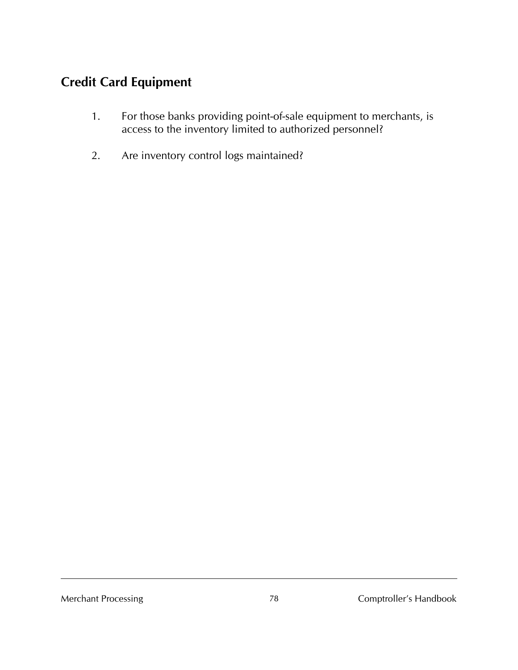# **Credit Card Equipment**

- 1. For those banks providing point-of-sale equipment to merchants, is access to the inventory limited to authorized personnel?
- 2. Are inventory control logs maintained?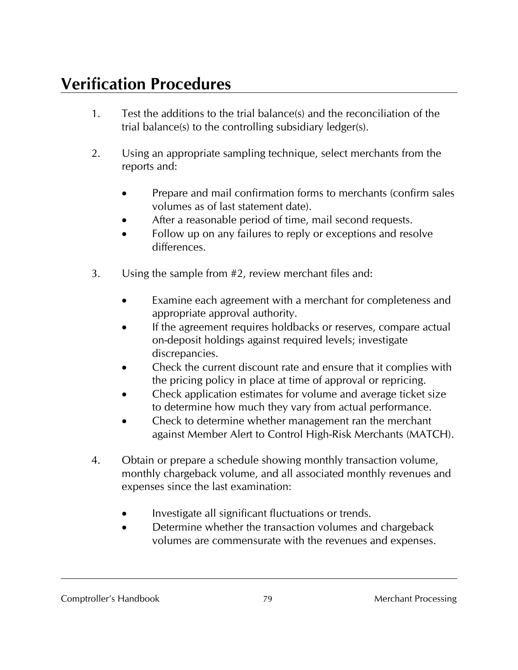# **Verification Procedures**

- 1. Test the additions to the trial balance(s) and the reconciliation of the trial balance(s) to the controlling subsidiary ledger(s).
- 2. Using an appropriate sampling technique, select merchants from the reports and:
	- Prepare and mail confirmation forms to merchants (confirm sales volumes as of last statement date).
	- After a reasonable period of time, mail second requests.
	- Follow up on any failures to reply or exceptions and resolve differences.
- 3. Using the sample from #2, review merchant files and:
	- Examine each agreement with a merchant for completeness and appropriate approval authority.
	- If the agreement requires holdbacks or reserves, compare actual on-deposit holdings against required levels; investigate discrepancies.
	- Check the current discount rate and ensure that it complies with the pricing policy in place at time of approval or repricing.
	- Check application estimates for volume and average ticket size to determine how much they vary from actual performance.
	- Check to determine whether management ran the merchant against Member Alert to Control High-Risk Merchants (MATCH).
- 4. Obtain or prepare a schedule showing monthly transaction volume, monthly chargeback volume, and all associated monthly revenues and expenses since the last examination:
	- Investigate all significant fluctuations or trends.
	- Determine whether the transaction volumes and chargeback volumes are commensurate with the revenues and expenses.

#### Comptroller's Handbook 20 Merchant Processing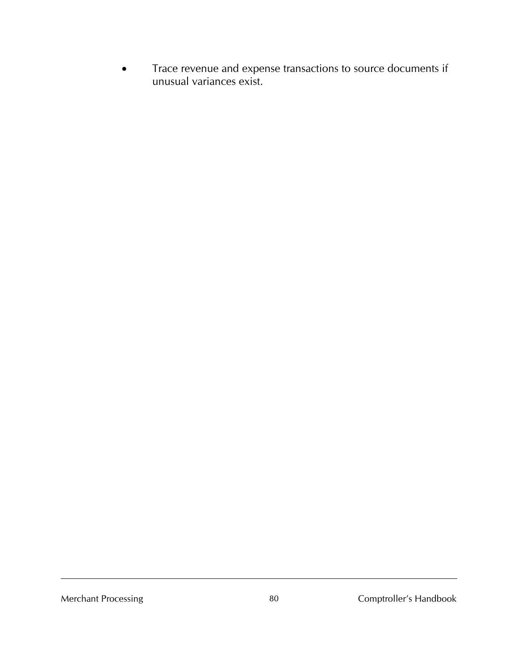• Trace revenue and expense transactions to source documents if unusual variances exist.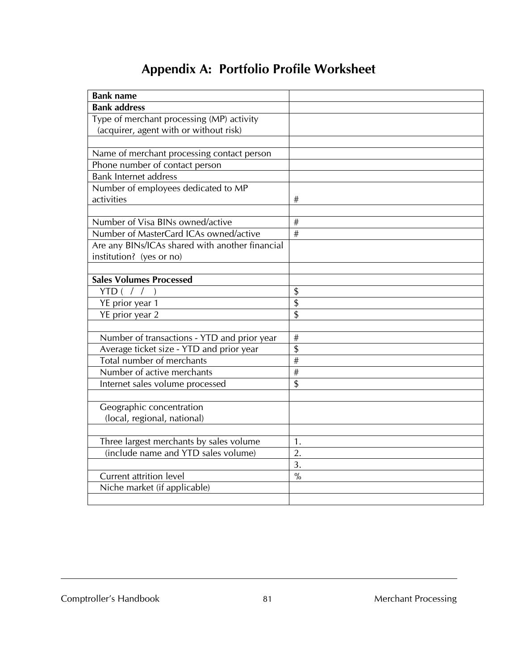# **Appendix A: Portfolio Profile Worksheet**

| <b>Bank name</b>                                |                  |
|-------------------------------------------------|------------------|
| <b>Bank address</b>                             |                  |
| Type of merchant processing (MP) activity       |                  |
| (acquirer, agent with or without risk)          |                  |
|                                                 |                  |
| Name of merchant processing contact person      |                  |
| Phone number of contact person                  |                  |
| <b>Bank Internet address</b>                    |                  |
| Number of employees dedicated to MP             |                  |
| activities                                      | #                |
|                                                 |                  |
| Number of Visa BINs owned/active                | #                |
| Number of MasterCard ICAs owned/active          | #                |
| Are any BINs/ICAs shared with another financial |                  |
| institution? (yes or no)                        |                  |
|                                                 |                  |
| <b>Sales Volumes Processed</b>                  |                  |
| YTD (                                           | \$               |
| YE prior year 1                                 | $\overline{\$}$  |
| YE prior year 2                                 | \$               |
|                                                 |                  |
| Number of transactions - YTD and prior year     | $\#$             |
| Average ticket size - YTD and prior year        | \$               |
| Total number of merchants                       | #                |
| Number of active merchants                      | #                |
| Internet sales volume processed                 | \$               |
|                                                 |                  |
| Geographic concentration                        |                  |
| (local, regional, national)                     |                  |
|                                                 |                  |
| Three largest merchants by sales volume         | 1.               |
| (include name and YTD sales volume)             | 2.               |
|                                                 | $\overline{3}$ . |
| Current attrition level                         | $\frac{0}{0}$    |
| Niche market (if applicable)                    |                  |
|                                                 |                  |

Comptroller's Handbook 81 and 81 Merchant Processing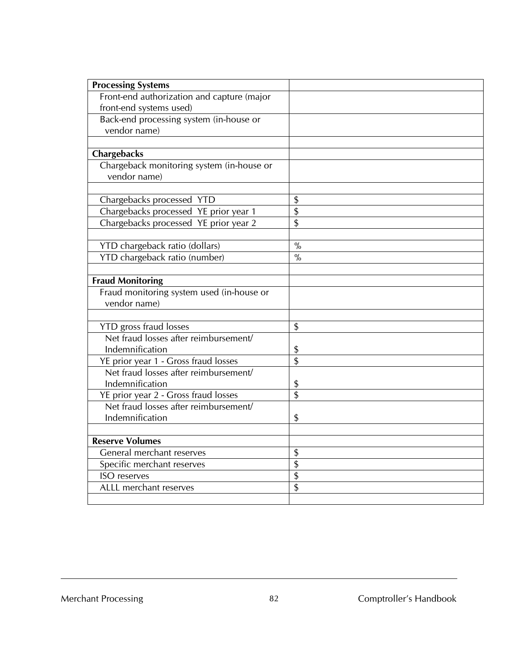| <b>Processing Systems</b>                  |                 |
|--------------------------------------------|-----------------|
| Front-end authorization and capture (major |                 |
| front-end systems used)                    |                 |
| Back-end processing system (in-house or    |                 |
| vendor name)                               |                 |
|                                            |                 |
| Chargebacks                                |                 |
| Chargeback monitoring system (in-house or  |                 |
| vendor name)                               |                 |
|                                            |                 |
| Chargebacks processed YTD                  | \$              |
| Chargebacks processed YE prior year 1      | \$              |
| Chargebacks processed YE prior year 2      | \$              |
|                                            |                 |
| YTD chargeback ratio (dollars)             | $\frac{0}{0}$   |
| YTD chargeback ratio (number)              | $\frac{9}{6}$   |
|                                            |                 |
| <b>Fraud Monitoring</b>                    |                 |
| Fraud monitoring system used (in-house or  |                 |
| vendor name)                               |                 |
|                                            |                 |
| <b>YTD</b> gross fraud losses              | \$              |
| Net fraud losses after reimbursement/      |                 |
| Indemnification                            | \$              |
| YE prior year 1 - Gross fraud losses       | \$              |
| Net fraud losses after reimbursement/      |                 |
| Indemnification                            | \$              |
| YE prior year 2 - Gross fraud losses       | $\overline{\$}$ |
| Net fraud losses after reimbursement/      |                 |
| Indemnification                            | \$              |
|                                            |                 |
| <b>Reserve Volumes</b>                     |                 |
| General merchant reserves                  | \$              |
| Specific merchant reserves                 | $\overline{\$}$ |
| ISO reserves                               | \$              |
| ALLL merchant reserves                     | \$              |
|                                            |                 |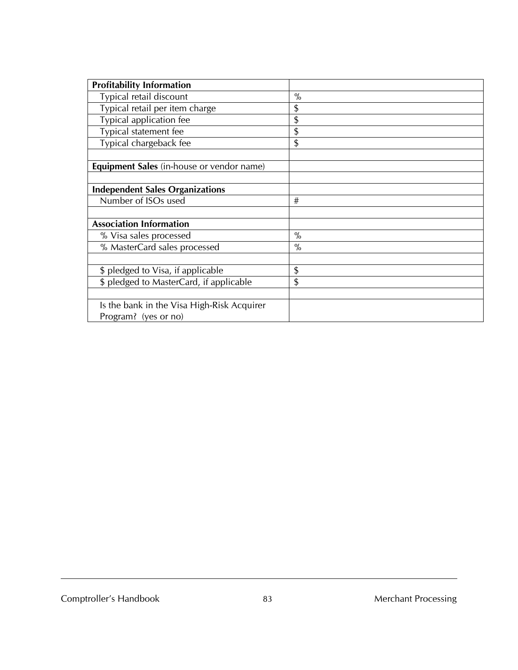| <b>Profitability Information</b>           |      |
|--------------------------------------------|------|
| Typical retail discount                    | $\%$ |
| Typical retail per item charge             | \$   |
| Typical application fee                    | \$   |
| Typical statement fee                      | \$   |
| Typical chargeback fee                     | \$   |
|                                            |      |
| Equipment Sales (in-house or vendor name)  |      |
|                                            |      |
| <b>Independent Sales Organizations</b>     |      |
| Number of ISOs used                        | #    |
|                                            |      |
| <b>Association Information</b>             |      |
| % Visa sales processed                     | $\%$ |
| % MasterCard sales processed               | $\%$ |
|                                            |      |
| \$ pledged to Visa, if applicable          | \$   |
| \$ pledged to MasterCard, if applicable    | \$   |
|                                            |      |
| Is the bank in the Visa High-Risk Acquirer |      |
| Program? (yes or no)                       |      |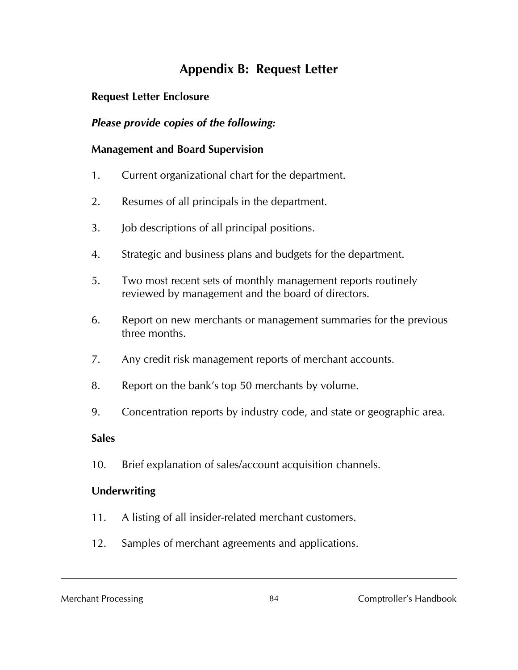# **Appendix B: Request Letter**

#### **Request Letter Enclosure**

#### *Please provide copies of the following:*

#### **Management and Board Supervision**

- 1. Current organizational chart for the department.
- 2. Resumes of all principals in the department.
- 3. Job descriptions of all principal positions.
- 4. Strategic and business plans and budgets for the department.
- 5. Two most recent sets of monthly management reports routinely reviewed by management and the board of directors.
- 6. Report on new merchants or management summaries for the previous three months.
- 7. Any credit risk management reports of merchant accounts.
- 8. Report on the bank's top 50 merchants by volume.
- 9. Concentration reports by industry code, and state or geographic area.

#### **Sales**

10. Brief explanation of sales/account acquisition channels.

#### **Underwriting**

- 11. A listing of all insider-related merchant customers.
- 12. Samples of merchant agreements and applications.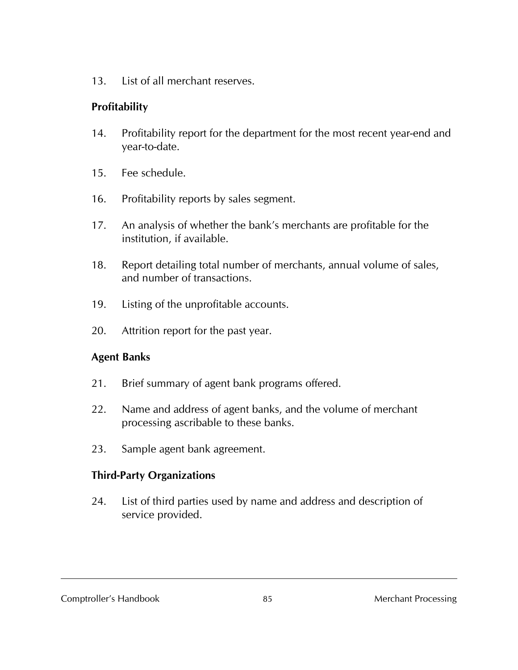13. List of all merchant reserves.

#### **Profitability**

- 14. Profitability report for the department for the most recent year-end and year-to-date.
- 15. Fee schedule.
- 16. Profitability reports by sales segment.
- 17. An analysis of whether the bank's merchants are profitable for the institution, if available.
- 18. Report detailing total number of merchants, annual volume of sales, and number of transactions.
- 19. Listing of the unprofitable accounts.
- 20. Attrition report for the past year.

#### **Agent Banks**

- 21. Brief summary of agent bank programs offered.
- 22. Name and address of agent banks, and the volume of merchant processing ascribable to these banks.
- 23. Sample agent bank agreement.

### **Third-Party Organizations**

24. List of third parties used by name and address and description of service provided.

Comptroller's Handbook 65 85 Merchant Processing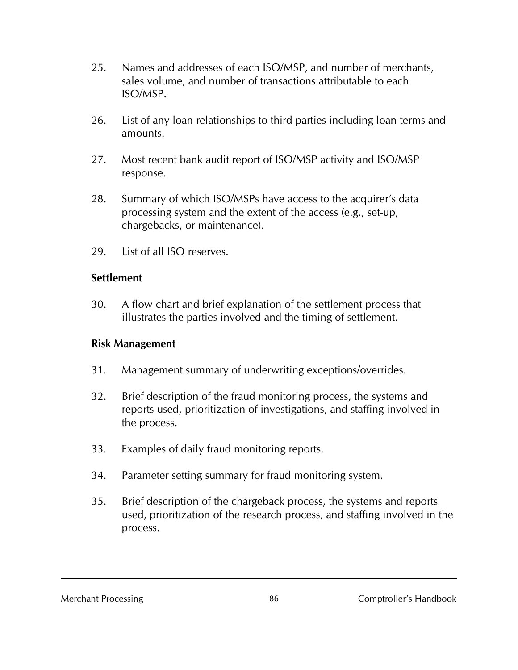- 25. Names and addresses of each ISO/MSP, and number of merchants, sales volume, and number of transactions attributable to each ISO/MSP.
- 26. List of any loan relationships to third parties including loan terms and amounts.
- 27. Most recent bank audit report of ISO/MSP activity and ISO/MSP response.
- 28. Summary of which ISO/MSPs have access to the acquirer's data processing system and the extent of the access (e.g., set-up, chargebacks, or maintenance).
- 29. List of all ISO reserves.

#### **Settlement**

30. A flow chart and brief explanation of the settlement process that illustrates the parties involved and the timing of settlement.

#### **Risk Management**

- 31. Management summary of underwriting exceptions/overrides.
- 32. Brief description of the fraud monitoring process, the systems and reports used, prioritization of investigations, and staffing involved in the process.
- 33. Examples of daily fraud monitoring reports.
- 34. Parameter setting summary for fraud monitoring system.
- 35. Brief description of the chargeback process, the systems and reports used, prioritization of the research process, and staffing involved in the process.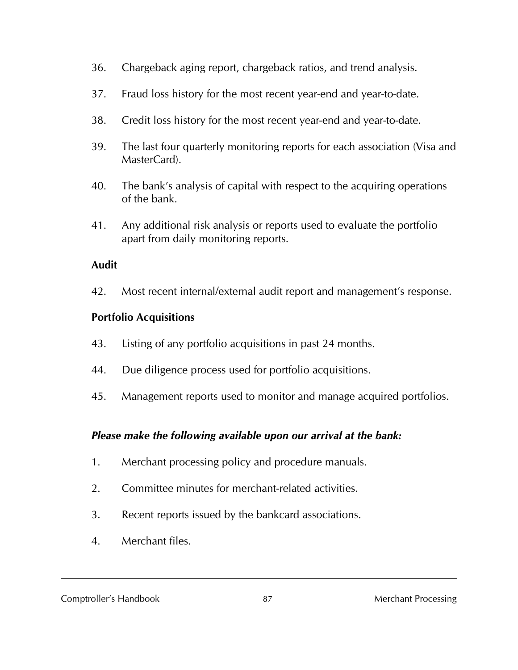- 36. Chargeback aging report, chargeback ratios, and trend analysis.
- 37. Fraud loss history for the most recent year-end and year-to-date.
- 38. Credit loss history for the most recent year-end and year-to-date.
- 39. The last four quarterly monitoring reports for each association (Visa and MasterCard).
- 40. The bank's analysis of capital with respect to the acquiring operations of the bank.
- 41. Any additional risk analysis or reports used to evaluate the portfolio apart from daily monitoring reports.

#### **Audit**

42. Most recent internal/external audit report and management's response.

#### **Portfolio Acquisitions**

- 43. Listing of any portfolio acquisitions in past 24 months.
- 44. Due diligence process used for portfolio acquisitions.
- 45. Management reports used to monitor and manage acquired portfolios.

### *Please make the following available upon our arrival at the bank:*

- 1. Merchant processing policy and procedure manuals.
- 2. Committee minutes for merchant-related activities.
- 3. Recent reports issued by the bankcard associations.
- 4. Merchant files.

#### Comptroller's Handbook 67 87 Merchant Processing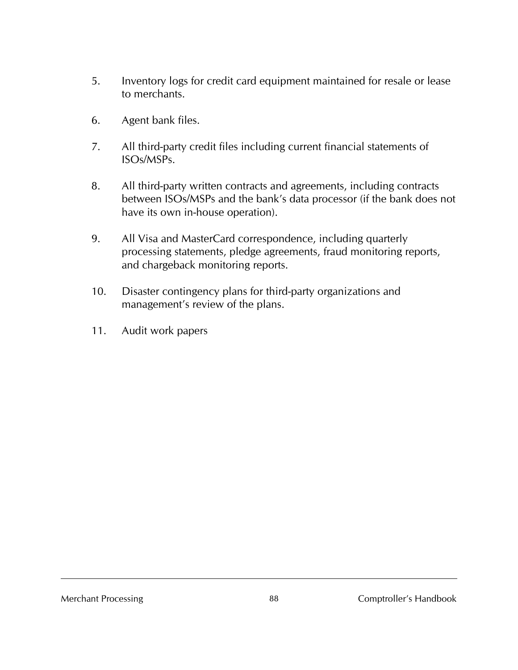- 5. Inventory logs for credit card equipment maintained for resale or lease to merchants.
- 6. Agent bank files.
- 7. All third-party credit files including current financial statements of ISOs/MSPs.
- 8. All third-party written contracts and agreements, including contracts between ISOs/MSPs and the bank's data processor (if the bank does not have its own in-house operation).
- 9. All Visa and MasterCard correspondence, including quarterly processing statements, pledge agreements, fraud monitoring reports, and chargeback monitoring reports.
- 10. Disaster contingency plans for third-party organizations and management's review of the plans.
- 11. Audit work papers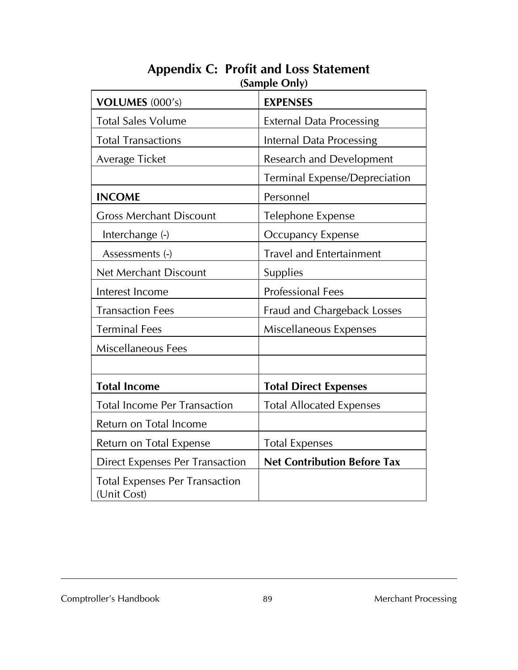| VOLUMES (000's)                                      | <b>EXPENSES</b>                      |  |  |  |
|------------------------------------------------------|--------------------------------------|--|--|--|
| <b>Total Sales Volume</b>                            | <b>External Data Processing</b>      |  |  |  |
| <b>Total Transactions</b>                            | Internal Data Processing             |  |  |  |
| Average Ticket                                       | <b>Research and Development</b>      |  |  |  |
|                                                      | <b>Terminal Expense/Depreciation</b> |  |  |  |
| <b>INCOME</b>                                        | Personnel                            |  |  |  |
| <b>Gross Merchant Discount</b>                       | Telephone Expense                    |  |  |  |
| Interchange (-)                                      | Occupancy Expense                    |  |  |  |
| Assessments (-)                                      | <b>Travel and Entertainment</b>      |  |  |  |
| <b>Net Merchant Discount</b>                         | Supplies                             |  |  |  |
| Interest Income                                      | <b>Professional Fees</b>             |  |  |  |
| <b>Transaction Fees</b>                              | Fraud and Chargeback Losses          |  |  |  |
| <b>Terminal Fees</b>                                 | Miscellaneous Expenses               |  |  |  |
| Miscellaneous Fees                                   |                                      |  |  |  |
|                                                      |                                      |  |  |  |
| <b>Total Income</b>                                  | <b>Total Direct Expenses</b>         |  |  |  |
| <b>Total Income Per Transaction</b>                  | <b>Total Allocated Expenses</b>      |  |  |  |
| Return on Total Income                               |                                      |  |  |  |
| Return on Total Expense                              | <b>Total Expenses</b>                |  |  |  |
| <b>Direct Expenses Per Transaction</b>               | <b>Net Contribution Before Tax</b>   |  |  |  |
| <b>Total Expenses Per Transaction</b><br>(Unit Cost) |                                      |  |  |  |

#### **Appendix C: Profit and Loss Statement (Sample Only)**

#### Comptroller's Handbook 89 89 Merchant Processing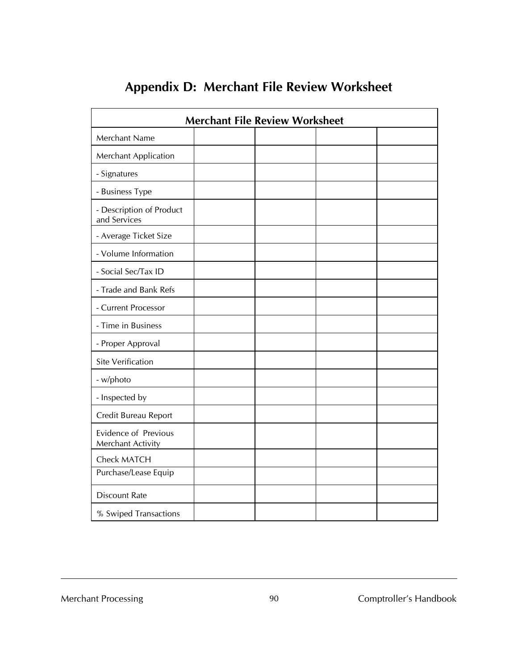| <b>Merchant File Review Worksheet</b>            |  |  |  |  |
|--------------------------------------------------|--|--|--|--|
| Merchant Name                                    |  |  |  |  |
| Merchant Application                             |  |  |  |  |
| - Signatures                                     |  |  |  |  |
| - Business Type                                  |  |  |  |  |
| - Description of Product<br>and Services         |  |  |  |  |
| - Average Ticket Size                            |  |  |  |  |
| - Volume Information                             |  |  |  |  |
| - Social Sec/Tax ID                              |  |  |  |  |
| - Trade and Bank Refs                            |  |  |  |  |
| - Current Processor                              |  |  |  |  |
| - Time in Business                               |  |  |  |  |
| - Proper Approval                                |  |  |  |  |
| <b>Site Verification</b>                         |  |  |  |  |
| - w/photo                                        |  |  |  |  |
| - Inspected by                                   |  |  |  |  |
| Credit Bureau Report                             |  |  |  |  |
| <b>Evidence of Previous</b><br>Merchant Activity |  |  |  |  |
| <b>Check MATCH</b>                               |  |  |  |  |
| Purchase/Lease Equip                             |  |  |  |  |
| <b>Discount Rate</b>                             |  |  |  |  |
| % Swiped Transactions                            |  |  |  |  |

# **Appendix D: Merchant File Review Worksheet**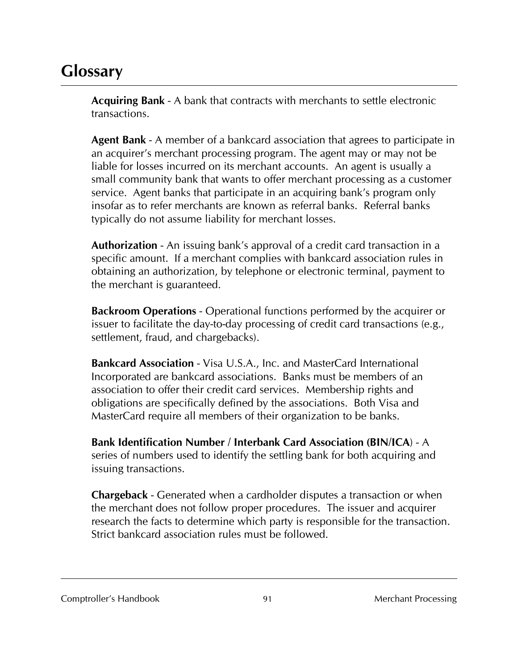# **Glossary**

**Acquiring Bank** - A bank that contracts with merchants to settle electronic transactions.

**Agent Bank** - A member of a bankcard association that agrees to participate in an acquirer's merchant processing program. The agent may or may not be liable for losses incurred on its merchant accounts. An agent is usually a small community bank that wants to offer merchant processing as a customer service. Agent banks that participate in an acquiring bank's program only insofar as to refer merchants are known as referral banks. Referral banks typically do not assume liability for merchant losses.

**Authorization** - An issuing bank's approval of a credit card transaction in a specific amount. If a merchant complies with bankcard association rules in obtaining an authorization, by telephone or electronic terminal, payment to the merchant is guaranteed.

**Backroom Operations** - Operational functions performed by the acquirer or issuer to facilitate the day-to-day processing of credit card transactions (e.g., settlement, fraud, and chargebacks).

**Bankcard Association** - Visa U.S.A., Inc. and MasterCard International Incorporated are bankcard associations. Banks must be members of an association to offer their credit card services. Membership rights and obligations are specifically defined by the associations. Both Visa and MasterCard require all members of their organization to be banks.

**Bank Identification Number / Interbank Card Association (BIN/ICA**) - A series of numbers used to identify the settling bank for both acquiring and issuing transactions.

**Chargeback** - Generated when a cardholder disputes a transaction or when the merchant does not follow proper procedures. The issuer and acquirer research the facts to determine which party is responsible for the transaction. Strict bankcard association rules must be followed.

Comptroller's Handbook 191 91 Merchant Processing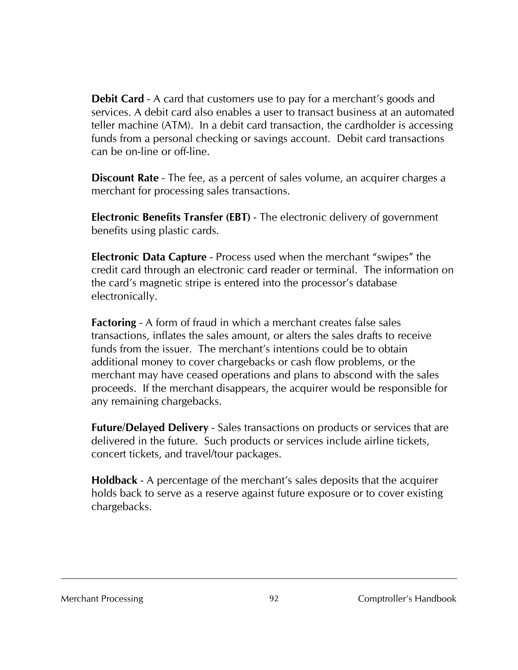**Debit Card** - A card that customers use to pay for a merchant's goods and services. A debit card also enables a user to transact business at an automated teller machine (ATM). In a debit card transaction, the cardholder is accessing funds from a personal checking or savings account. Debit card transactions can be on-line or off-line.

**Discount Rate** - The fee, as a percent of sales volume, an acquirer charges a merchant for processing sales transactions.

**Electronic Benefits Transfer (EBT)** - The electronic delivery of government benefits using plastic cards.

**Electronic Data Capture** - Process used when the merchant "swipes" the credit card through an electronic card reader or terminal. The information on the card's magnetic stripe is entered into the processor's database electronically.

**Factoring** - A form of fraud in which a merchant creates false sales transactions, inflates the sales amount, or alters the sales drafts to receive funds from the issuer. The merchant's intentions could be to obtain additional money to cover chargebacks or cash flow problems, or the merchant may have ceased operations and plans to abscond with the sales proceeds. If the merchant disappears, the acquirer would be responsible for any remaining chargebacks.

**Future/Delayed Delivery** - Sales transactions on products or services that are delivered in the future. Such products or services include airline tickets, concert tickets, and travel/tour packages.

**Holdback** - A percentage of the merchant's sales deposits that the acquirer holds back to serve as a reserve against future exposure or to cover existing chargebacks.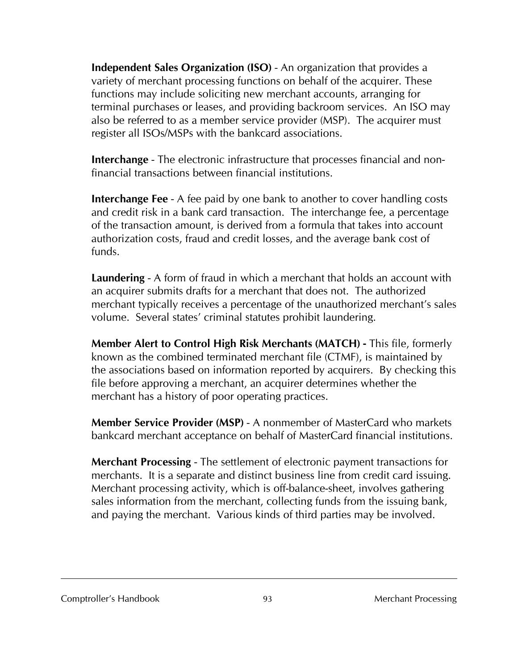**Independent Sales Organization (ISO)** - An organization that provides a variety of merchant processing functions on behalf of the acquirer. These functions may include soliciting new merchant accounts, arranging for terminal purchases or leases, and providing backroom services. An ISO may also be referred to as a member service provider (MSP). The acquirer must register all ISOs/MSPs with the bankcard associations.

**Interchange** - The electronic infrastructure that processes financial and nonfinancial transactions between financial institutions.

**Interchange Fee** - A fee paid by one bank to another to cover handling costs and credit risk in a bank card transaction. The interchange fee, a percentage of the transaction amount, is derived from a formula that takes into account authorization costs, fraud and credit losses, and the average bank cost of funds.

**Laundering** - A form of fraud in which a merchant that holds an account with an acquirer submits drafts for a merchant that does not. The authorized merchant typically receives a percentage of the unauthorized merchant's sales volume. Several states' criminal statutes prohibit laundering.

**Member Alert to Control High Risk Merchants (MATCH) -** This file, formerly known as the combined terminated merchant file (CTMF), is maintained by the associations based on information reported by acquirers. By checking this file before approving a merchant, an acquirer determines whether the merchant has a history of poor operating practices.

**Member Service Provider (MSP)** - A nonmember of MasterCard who markets bankcard merchant acceptance on behalf of MasterCard financial institutions.

**Merchant Processing** - The settlement of electronic payment transactions for merchants. It is a separate and distinct business line from credit card issuing. Merchant processing activity, which is off-balance-sheet, involves gathering sales information from the merchant, collecting funds from the issuing bank, and paying the merchant. Various kinds of third parties may be involved.

Comptroller's Handbook 6 (1992) 93 Merchant Processing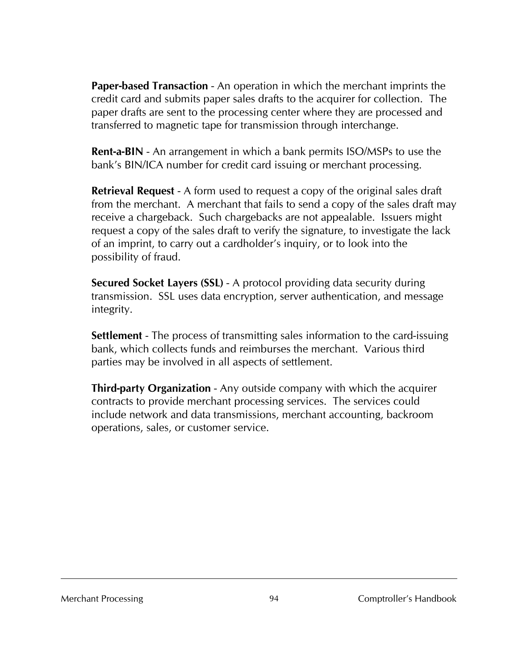**Paper-based Transaction** - An operation in which the merchant imprints the credit card and submits paper sales drafts to the acquirer for collection. The paper drafts are sent to the processing center where they are processed and transferred to magnetic tape for transmission through interchange.

**Rent-a-BIN** - An arrangement in which a bank permits ISO/MSPs to use the bank's BIN/ICA number for credit card issuing or merchant processing.

**Retrieval Request** - A form used to request a copy of the original sales draft from the merchant. A merchant that fails to send a copy of the sales draft may receive a chargeback. Such chargebacks are not appealable. Issuers might request a copy of the sales draft to verify the signature, to investigate the lack of an imprint, to carry out a cardholder's inquiry, or to look into the possibility of fraud.

**Secured Socket Layers (SSL)** - A protocol providing data security during transmission. SSL uses data encryption, server authentication, and message integrity.

**Settlement** - The process of transmitting sales information to the card-issuing bank, which collects funds and reimburses the merchant. Various third parties may be involved in all aspects of settlement.

**Third-party Organization** - Any outside company with which the acquirer contracts to provide merchant processing services. The services could include network and data transmissions, merchant accounting, backroom operations, sales, or customer service.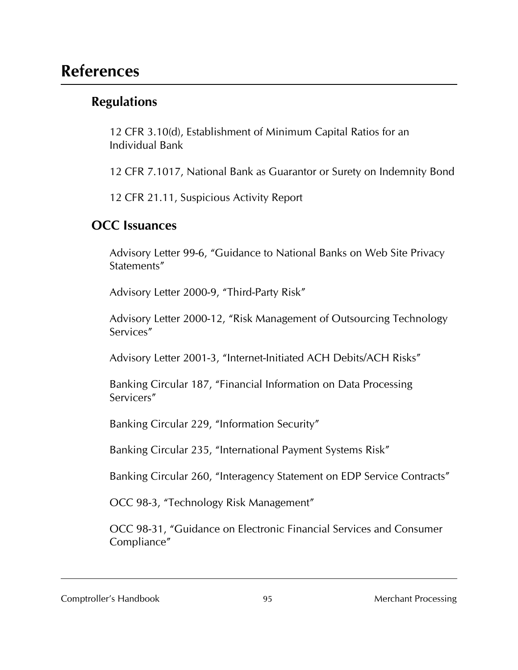# **References**

## **Regulations**

12 CFR 3.10(d), Establishment of Minimum Capital Ratios for an Individual Bank

12 CFR 7.1017, National Bank as Guarantor or Surety on Indemnity Bond

12 CFR 21.11, Suspicious Activity Report

#### **OCC Issuances**

Advisory Letter 99-6, "Guidance to National Banks on Web Site Privacy Statements"

Advisory Letter 2000-9, "Third-Party Risk"

Advisory Letter 2000-12, "Risk Management of Outsourcing Technology Services"

Advisory Letter 2001-3, "Internet-Initiated ACH Debits/ACH Risks"

Banking Circular 187, "Financial Information on Data Processing Servicers"

Banking Circular 229, "Information Security"

Banking Circular 235, "International Payment Systems Risk"

Banking Circular 260, "Interagency Statement on EDP Service Contracts"

OCC 98-3, "Technology Risk Management"

OCC 98-31, "Guidance on Electronic Financial Services and Consumer Compliance"

Comptroller's Handbook 1995 1995 Merchant Processing